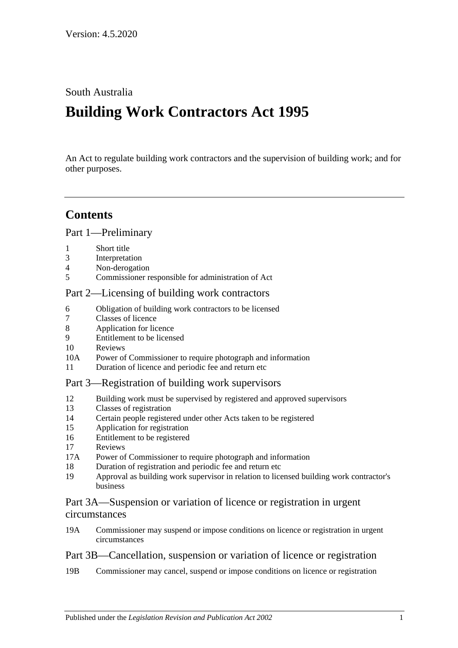### South Australia

# **Building Work Contractors Act 1995**

An Act to regulate building work contractors and the supervision of building work; and for other purposes.

## **Contents**

[Part 1—Preliminary](#page-2-0)

- 1 [Short title](#page-2-1)
- 3 [Interpretation](#page-2-2)
- 4 [Non-derogation](#page-4-0)
- 5 [Commissioner responsible for administration of Act](#page-4-1)

### [Part 2—Licensing of building work contractors](#page-4-2)

- 6 [Obligation of building work contractors to be licensed](#page-4-3)
- 7 [Classes of licence](#page-5-0)
- 8 [Application for licence](#page-5-1)
- 9 [Entitlement to be licensed](#page-6-0)
- 10 [Reviews](#page-8-0)
- 10A [Power of Commissioner to require photograph and information](#page-8-1)
- 11 [Duration of licence and periodic fee and return etc](#page-9-0)

### [Part 3—Registration of building work supervisors](#page-9-1)

- 12 [Building work must be supervised by registered and approved supervisors](#page-9-2)
- 13 [Classes of registration](#page-10-0)
- 14 [Certain people registered under other Acts taken to be registered](#page-10-1)
- 15 [Application for registration](#page-11-0)
- 16 [Entitlement to be registered](#page-11-1)
- 17 [Reviews](#page-12-0)
- 17A [Power of Commissioner to require photograph and information](#page-12-1)
- 18 [Duration of registration and periodic fee and return etc](#page-12-2)
- 19 [Approval as building work supervisor in relation to licensed building work contractor's](#page-13-0)  [business](#page-13-0)

### [Part 3A—Suspension or variation of licence or registration in urgent](#page-14-0)  [circumstances](#page-14-0)

19A [Commissioner may suspend or impose conditions on licence or registration in urgent](#page-14-1)  [circumstances](#page-14-1)

### [Part 3B—Cancellation, suspension or variation of licence or registration](#page-15-0)

19B [Commissioner may cancel, suspend or impose conditions on licence or registration](#page-15-1)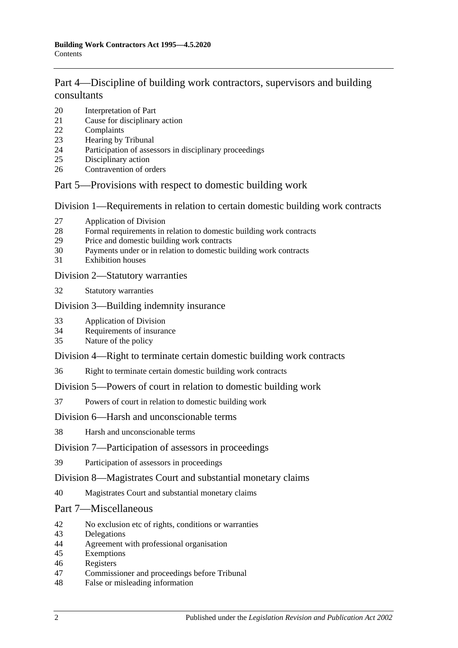## [Part 4—Discipline of building work contractors, supervisors and building](#page-16-0)  [consultants](#page-16-0)

- [Interpretation of Part](#page-16-1)
- [Cause for disciplinary action](#page-16-2)
- [Complaints](#page-17-0)
- [Hearing by Tribunal](#page-17-1)
- [Participation of assessors in disciplinary proceedings](#page-18-0)
- [Disciplinary action](#page-18-1)
- [Contravention of orders](#page-19-0)

### [Part 5—Provisions with respect to domestic building work](#page-19-1)

[Division 1—Requirements in relation to certain domestic building work contracts](#page-19-2)

- [Application of Division](#page-19-3)
- [Formal requirements in relation to domestic building work contracts](#page-19-4)
- [Price and domestic building work contracts](#page-20-0)
- [Payments under or in relation to domestic building work contracts](#page-22-0)
- [Exhibition houses](#page-23-0)

#### [Division 2—Statutory warranties](#page-23-1)

[Statutory warranties](#page-23-2)

### [Division 3—Building indemnity insurance](#page-24-0)

- [Application of Division](#page-24-1)
- [Requirements of insurance](#page-24-2)
- [Nature of the policy](#page-25-0)

### [Division 4—Right to terminate certain domestic building work contracts](#page-25-1)

[Right to terminate certain domestic building work contracts](#page-25-2)

### [Division 5—Powers of court in relation to domestic building work](#page-26-0)

[Powers of court in relation to domestic building work](#page-26-1)

### [Division 6—Harsh and unconscionable terms](#page-27-0)

[Harsh and unconscionable terms](#page-27-1)

### [Division 7—Participation of assessors in proceedings](#page-28-0)

[Participation of assessors in proceedings](#page-28-1)

### [Division 8—Magistrates Court and substantial monetary claims](#page-28-2)

[Magistrates Court and substantial monetary claims](#page-28-3)

### [Part 7—Miscellaneous](#page-28-4)

- [No exclusion etc of rights, conditions or warranties](#page-28-5)
- [Delegations](#page-29-0)
- [Agreement with professional organisation](#page-29-1)
- [Exemptions](#page-30-0)
- [Registers](#page-30-1)
- [Commissioner and proceedings before Tribunal](#page-31-0)
- [False or misleading information](#page-31-1)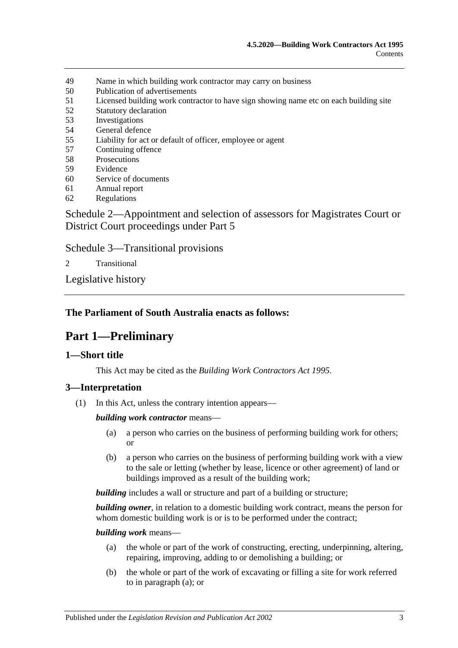- 49 [Name in which building work contractor may carry on business](#page-31-2)
- 50 [Publication of advertisements](#page-31-3)
- 51 [Licensed building work contractor to have sign showing name etc on each building site](#page-32-0)
- 52 [Statutory declaration](#page-32-1)
- 53 [Investigations](#page-32-2)
- 54 [General defence](#page-32-3)
- 55 [Liability for act or default of officer, employee or agent](#page-32-4)
- 57 [Continuing offence](#page-33-0)
- 58 [Prosecutions](#page-33-1)
- 59 [Evidence](#page-33-2)
- 60 [Service of documents](#page-34-0)
- 61 [Annual report](#page-34-1)
- 62 [Regulations](#page-34-2)

[Schedule 2—Appointment and selection of assessors for Magistrates Court or](#page-35-0)  [District Court proceedings under Part](#page-35-0) 5

[Schedule 3—Transitional provisions](#page-36-0)

2 [Transitional](#page-36-1)

[Legislative history](#page-38-0)

### <span id="page-2-0"></span>**The Parliament of South Australia enacts as follows:**

## **Part 1—Preliminary**

#### <span id="page-2-1"></span>**1—Short title**

This Act may be cited as the *Building Work Contractors Act 1995*.

### <span id="page-2-2"></span>**3—Interpretation**

(1) In this Act, unless the contrary intention appears—

*building work contractor* means—

- (a) a person who carries on the business of performing building work for others; or
- (b) a person who carries on the business of performing building work with a view to the sale or letting (whether by lease, licence or other agreement) of land or buildings improved as a result of the building work;

*building* includes a wall or structure and part of a building or structure;

*building owner*, in relation to a domestic building work contract, means the person for whom domestic building work is or is to be performed under the contract;

<span id="page-2-3"></span>*building work* means—

- (a) the whole or part of the work of constructing, erecting, underpinning, altering, repairing, improving, adding to or demolishing a building; or
- (b) the whole or part of the work of excavating or filling a site for work referred to in [paragraph](#page-2-3) (a); or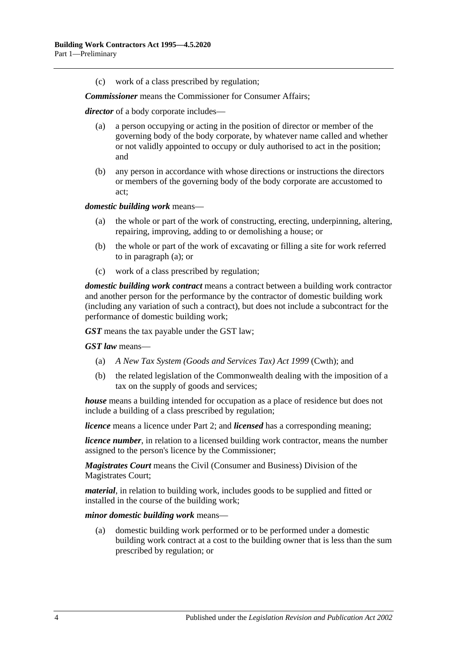(c) work of a class prescribed by regulation;

*Commissioner* means the Commissioner for Consumer Affairs;

*director* of a body corporate includes—

- (a) a person occupying or acting in the position of director or member of the governing body of the body corporate, by whatever name called and whether or not validly appointed to occupy or duly authorised to act in the position; and
- (b) any person in accordance with whose directions or instructions the directors or members of the governing body of the body corporate are accustomed to act;

<span id="page-3-0"></span>*domestic building work* means—

- (a) the whole or part of the work of constructing, erecting, underpinning, altering, repairing, improving, adding to or demolishing a house; or
- (b) the whole or part of the work of excavating or filling a site for work referred to in [paragraph](#page-3-0) (a); or
- (c) work of a class prescribed by regulation;

*domestic building work contract* means a contract between a building work contractor and another person for the performance by the contractor of domestic building work (including any variation of such a contract), but does not include a subcontract for the performance of domestic building work;

*GST* means the tax payable under the GST law;

*GST law* means—

- (a) *A New Tax System (Goods and Services Tax) Act 1999* (Cwth); and
- (b) the related legislation of the Commonwealth dealing with the imposition of a tax on the supply of goods and services;

*house* means a building intended for occupation as a place of residence but does not include a building of a class prescribed by regulation;

*licence* means a licence under [Part 2;](#page-4-2) and *licensed* has a corresponding meaning;

*licence number*, in relation to a licensed building work contractor, means the number assigned to the person's licence by the Commissioner;

*Magistrates Court* means the Civil (Consumer and Business) Division of the Magistrates Court;

*material*, in relation to building work, includes goods to be supplied and fitted or installed in the course of the building work;

*minor domestic building work* means—

(a) domestic building work performed or to be performed under a domestic building work contract at a cost to the building owner that is less than the sum prescribed by regulation; or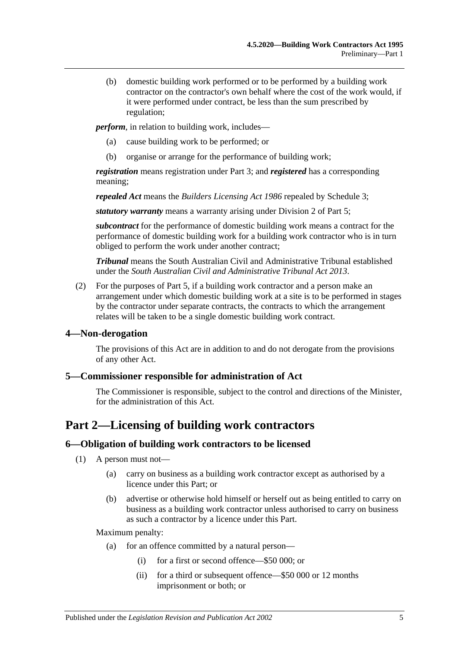(b) domestic building work performed or to be performed by a building work contractor on the contractor's own behalf where the cost of the work would, if it were performed under contract, be less than the sum prescribed by regulation;

*perform*, in relation to building work, includes—

- (a) cause building work to be performed; or
- (b) organise or arrange for the performance of building work;

*registration* means registration under [Part 3;](#page-9-1) and *registered* has a corresponding meaning;

*repealed Act* means the *[Builders Licensing Act](http://www.legislation.sa.gov.au/index.aspx?action=legref&type=act&legtitle=Builders%20Licensing%20Act%201986) 1986* repealed by [Schedule 3;](#page-36-0)

*statutory warranty* means a warranty arising under [Division 2](#page-23-1) of [Part 5;](#page-19-1)

*subcontract* for the performance of domestic building work means a contract for the performance of domestic building work for a building work contractor who is in turn obliged to perform the work under another contract;

*Tribunal* means the South Australian Civil and Administrative Tribunal established under the *[South Australian Civil and Administrative Tribunal Act](http://www.legislation.sa.gov.au/index.aspx?action=legref&type=act&legtitle=South%20Australian%20Civil%20and%20Administrative%20Tribunal%20Act%202013) 2013*.

(2) For the purposes of [Part 5,](#page-19-1) if a building work contractor and a person make an arrangement under which domestic building work at a site is to be performed in stages by the contractor under separate contracts, the contracts to which the arrangement relates will be taken to be a single domestic building work contract.

#### <span id="page-4-0"></span>**4—Non-derogation**

The provisions of this Act are in addition to and do not derogate from the provisions of any other Act.

#### <span id="page-4-1"></span>**5—Commissioner responsible for administration of Act**

The Commissioner is responsible, subject to the control and directions of the Minister, for the administration of this Act.

## <span id="page-4-2"></span>**Part 2—Licensing of building work contractors**

#### <span id="page-4-3"></span>**6—Obligation of building work contractors to be licensed**

(1) A person must not—

- (a) carry on business as a building work contractor except as authorised by a licence under this Part; or
- (b) advertise or otherwise hold himself or herself out as being entitled to carry on business as a building work contractor unless authorised to carry on business as such a contractor by a licence under this Part.

#### Maximum penalty:

- (a) for an offence committed by a natural person—
	- (i) for a first or second offence—\$50 000; or
	- (ii) for a third or subsequent offence—\$50 000 or 12 months imprisonment or both; or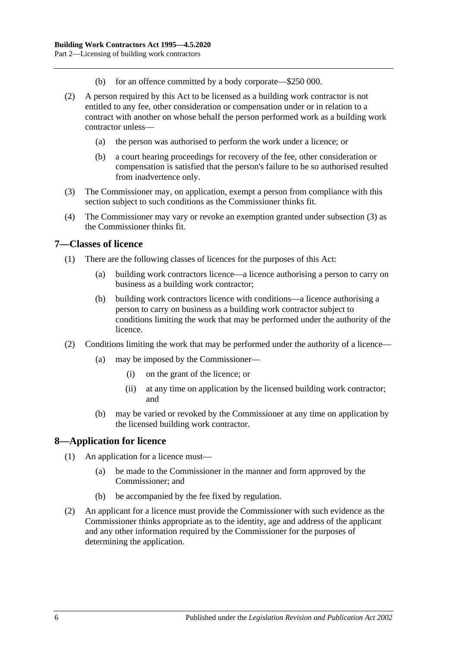- (b) for an offence committed by a body corporate—\$250 000.
- (2) A person required by this Act to be licensed as a building work contractor is not entitled to any fee, other consideration or compensation under or in relation to a contract with another on whose behalf the person performed work as a building work contractor unless—
	- (a) the person was authorised to perform the work under a licence; or
	- (b) a court hearing proceedings for recovery of the fee, other consideration or compensation is satisfied that the person's failure to be so authorised resulted from inadvertence only.
- <span id="page-5-2"></span>(3) The Commissioner may, on application, exempt a person from compliance with this section subject to such conditions as the Commissioner thinks fit.
- (4) The Commissioner may vary or revoke an exemption granted under [subsection](#page-5-2) (3) as the Commissioner thinks fit.

#### <span id="page-5-0"></span>**7—Classes of licence**

- (1) There are the following classes of licences for the purposes of this Act:
	- (a) building work contractors licence—a licence authorising a person to carry on business as a building work contractor;
	- (b) building work contractors licence with conditions—a licence authorising a person to carry on business as a building work contractor subject to conditions limiting the work that may be performed under the authority of the licence.
- (2) Conditions limiting the work that may be performed under the authority of a licence—
	- (a) may be imposed by the Commissioner—
		- (i) on the grant of the licence; or
		- (ii) at any time on application by the licensed building work contractor; and
	- (b) may be varied or revoked by the Commissioner at any time on application by the licensed building work contractor.

#### <span id="page-5-1"></span>**8—Application for licence**

- (1) An application for a licence must—
	- (a) be made to the Commissioner in the manner and form approved by the Commissioner; and
	- (b) be accompanied by the fee fixed by regulation.
- (2) An applicant for a licence must provide the Commissioner with such evidence as the Commissioner thinks appropriate as to the identity, age and address of the applicant and any other information required by the Commissioner for the purposes of determining the application.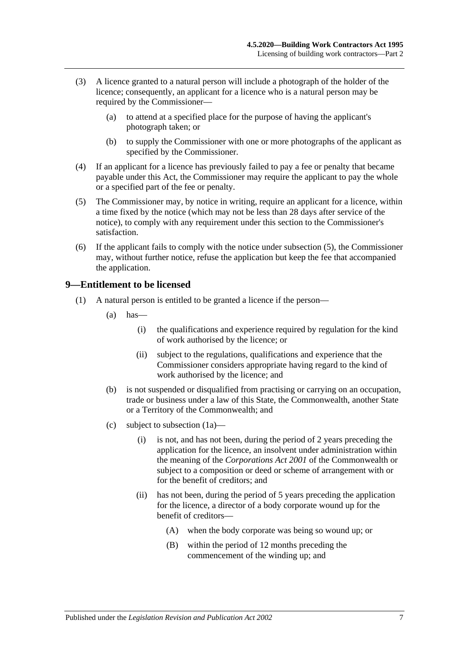- (3) A licence granted to a natural person will include a photograph of the holder of the licence; consequently, an applicant for a licence who is a natural person may be required by the Commissioner—
	- (a) to attend at a specified place for the purpose of having the applicant's photograph taken; or
	- (b) to supply the Commissioner with one or more photographs of the applicant as specified by the Commissioner.
- (4) If an applicant for a licence has previously failed to pay a fee or penalty that became payable under this Act, the Commissioner may require the applicant to pay the whole or a specified part of the fee or penalty.
- <span id="page-6-1"></span>(5) The Commissioner may, by notice in writing, require an applicant for a licence, within a time fixed by the notice (which may not be less than 28 days after service of the notice), to comply with any requirement under this section to the Commissioner's satisfaction.
- (6) If the applicant fails to comply with the notice under [subsection](#page-6-1) (5), the Commissioner may, without further notice, refuse the application but keep the fee that accompanied the application.

### <span id="page-6-0"></span>**9—Entitlement to be licensed**

- <span id="page-6-2"></span>(1) A natural person is entitled to be granted a licence if the person—
	- $(a)$  has—
		- (i) the qualifications and experience required by regulation for the kind of work authorised by the licence; or
		- (ii) subject to the regulations, qualifications and experience that the Commissioner considers appropriate having regard to the kind of work authorised by the licence; and
	- (b) is not suspended or disqualified from practising or carrying on an occupation, trade or business under a law of this State, the Commonwealth, another State or a Territory of the Commonwealth; and
	- (c) subject to [subsection](#page-7-0) (1a)—
		- (i) is not, and has not been, during the period of 2 years preceding the application for the licence, an insolvent under administration within the meaning of the *Corporations Act 2001* of the Commonwealth or subject to a composition or deed or scheme of arrangement with or for the benefit of creditors; and
		- (ii) has not been, during the period of 5 years preceding the application for the licence, a director of a body corporate wound up for the benefit of creditors—
			- (A) when the body corporate was being so wound up; or
			- (B) within the period of 12 months preceding the commencement of the winding up; and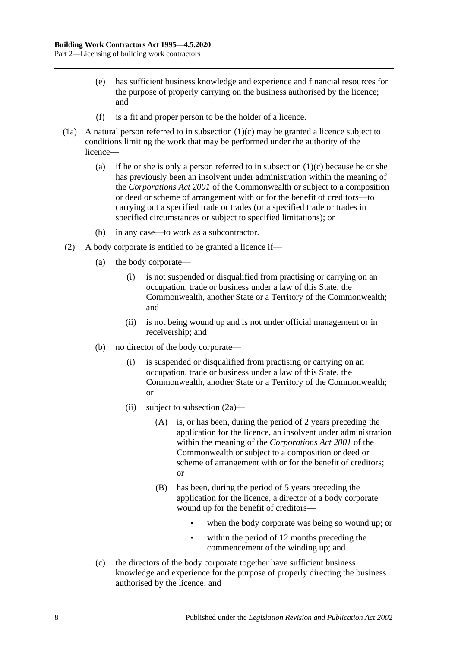- (e) has sufficient business knowledge and experience and financial resources for the purpose of properly carrying on the business authorised by the licence; and
- (f) is a fit and proper person to be the holder of a licence.
- <span id="page-7-0"></span>(1a) A natural person referred to in [subsection](#page-6-2)  $(1)(c)$  may be granted a licence subject to conditions limiting the work that may be performed under the authority of the licence
	- (a) if he or she is only a person referred to in [subsection](#page-6-2)  $(1)(c)$  because he or she has previously been an insolvent under administration within the meaning of the *Corporations Act 2001* of the Commonwealth or subject to a composition or deed or scheme of arrangement with or for the benefit of creditors—to carrying out a specified trade or trades (or a specified trade or trades in specified circumstances or subject to specified limitations); or
	- (b) in any case—to work as a subcontractor.
- <span id="page-7-1"></span>(2) A body corporate is entitled to be granted a licence if—
	- (a) the body corporate—
		- (i) is not suspended or disqualified from practising or carrying on an occupation, trade or business under a law of this State, the Commonwealth, another State or a Territory of the Commonwealth; and
		- (ii) is not being wound up and is not under official management or in receivership; and
	- (b) no director of the body corporate—
		- (i) is suspended or disqualified from practising or carrying on an occupation, trade or business under a law of this State, the Commonwealth, another State or a Territory of the Commonwealth; or
		- (ii) subject to [subsection](#page-8-2) (2a)—
			- (A) is, or has been, during the period of 2 years preceding the application for the licence, an insolvent under administration within the meaning of the *Corporations Act 2001* of the Commonwealth or subject to a composition or deed or scheme of arrangement with or for the benefit of creditors; or
			- (B) has been, during the period of 5 years preceding the application for the licence, a director of a body corporate wound up for the benefit of creditors
				- when the body corporate was being so wound up; or
				- within the period of 12 months preceding the commencement of the winding up; and
	- (c) the directors of the body corporate together have sufficient business knowledge and experience for the purpose of properly directing the business authorised by the licence; and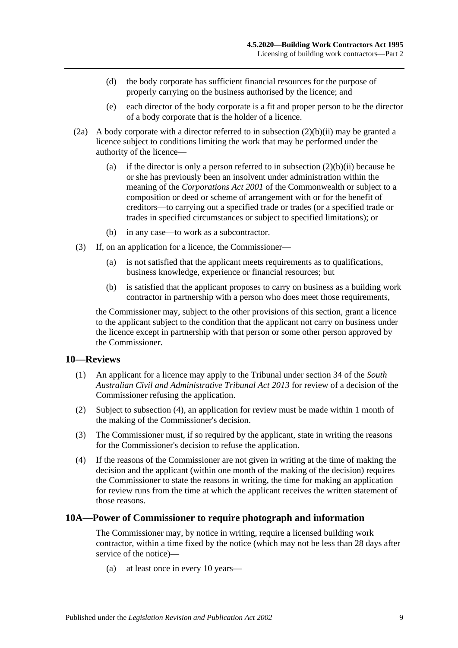- (d) the body corporate has sufficient financial resources for the purpose of properly carrying on the business authorised by the licence; and
- (e) each director of the body corporate is a fit and proper person to be the director of a body corporate that is the holder of a licence.
- <span id="page-8-2"></span>(2a) A body corporate with a director referred to in [subsection](#page-7-1)  $(2)(b)(ii)$  may be granted a licence subject to conditions limiting the work that may be performed under the authority of the licence
	- (a) if the director is only a person referred to in [subsection](#page-7-1)  $(2)(b)(ii)$  because he or she has previously been an insolvent under administration within the meaning of the *Corporations Act 2001* of the Commonwealth or subject to a composition or deed or scheme of arrangement with or for the benefit of creditors—to carrying out a specified trade or trades (or a specified trade or trades in specified circumstances or subject to specified limitations); or
	- (b) in any case—to work as a subcontractor.
- (3) If, on an application for a licence, the Commissioner—
	- (a) is not satisfied that the applicant meets requirements as to qualifications, business knowledge, experience or financial resources; but
	- (b) is satisfied that the applicant proposes to carry on business as a building work contractor in partnership with a person who does meet those requirements,

the Commissioner may, subject to the other provisions of this section, grant a licence to the applicant subject to the condition that the applicant not carry on business under the licence except in partnership with that person or some other person approved by the Commissioner.

#### <span id="page-8-0"></span>**10—Reviews**

- (1) An applicant for a licence may apply to the Tribunal under section 34 of the *[South](http://www.legislation.sa.gov.au/index.aspx?action=legref&type=act&legtitle=South%20Australian%20Civil%20and%20Administrative%20Tribunal%20Act%202013)  [Australian Civil and Administrative Tribunal Act](http://www.legislation.sa.gov.au/index.aspx?action=legref&type=act&legtitle=South%20Australian%20Civil%20and%20Administrative%20Tribunal%20Act%202013) 2013* for review of a decision of the Commissioner refusing the application.
- (2) Subject to [subsection](#page-8-3) (4), an application for review must be made within 1 month of the making of the Commissioner's decision.
- (3) The Commissioner must, if so required by the applicant, state in writing the reasons for the Commissioner's decision to refuse the application.
- <span id="page-8-3"></span>(4) If the reasons of the Commissioner are not given in writing at the time of making the decision and the applicant (within one month of the making of the decision) requires the Commissioner to state the reasons in writing, the time for making an application for review runs from the time at which the applicant receives the written statement of those reasons.

#### <span id="page-8-1"></span>**10A—Power of Commissioner to require photograph and information**

The Commissioner may, by notice in writing, require a licensed building work contractor, within a time fixed by the notice (which may not be less than 28 days after service of the notice)—

(a) at least once in every 10 years—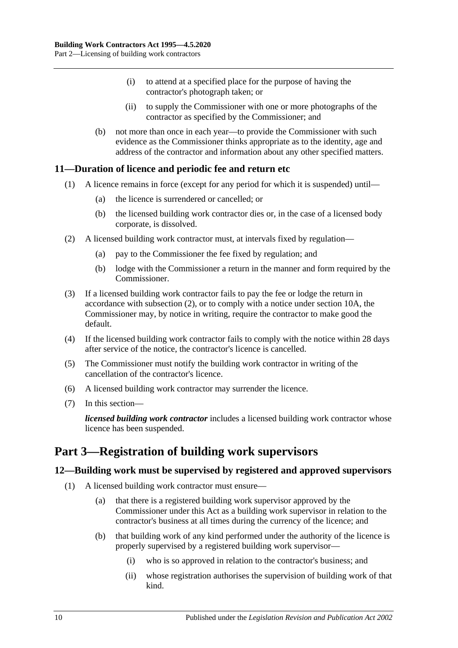- (i) to attend at a specified place for the purpose of having the contractor's photograph taken; or
- (ii) to supply the Commissioner with one or more photographs of the contractor as specified by the Commissioner; and
- (b) not more than once in each year—to provide the Commissioner with such evidence as the Commissioner thinks appropriate as to the identity, age and address of the contractor and information about any other specified matters.

### <span id="page-9-0"></span>**11—Duration of licence and periodic fee and return etc**

- (1) A licence remains in force (except for any period for which it is suspended) until—
	- (a) the licence is surrendered or cancelled; or
	- (b) the licensed building work contractor dies or, in the case of a licensed body corporate, is dissolved.
- <span id="page-9-3"></span>(2) A licensed building work contractor must, at intervals fixed by regulation—
	- (a) pay to the Commissioner the fee fixed by regulation; and
	- (b) lodge with the Commissioner a return in the manner and form required by the Commissioner.
- (3) If a licensed building work contractor fails to pay the fee or lodge the return in accordance with [subsection](#page-9-3) (2), or to comply with a notice under [section](#page-8-1) 10A, the Commissioner may, by notice in writing, require the contractor to make good the default.
- (4) If the licensed building work contractor fails to comply with the notice within 28 days after service of the notice, the contractor's licence is cancelled.
- (5) The Commissioner must notify the building work contractor in writing of the cancellation of the contractor's licence.
- (6) A licensed building work contractor may surrender the licence.
- (7) In this section—

*licensed building work contractor* includes a licensed building work contractor whose licence has been suspended.

## <span id="page-9-1"></span>**Part 3—Registration of building work supervisors**

### <span id="page-9-5"></span><span id="page-9-2"></span>**12—Building work must be supervised by registered and approved supervisors**

- <span id="page-9-4"></span>(1) A licensed building work contractor must ensure—
	- (a) that there is a registered building work supervisor approved by the Commissioner under this Act as a building work supervisor in relation to the contractor's business at all times during the currency of the licence; and
	- (b) that building work of any kind performed under the authority of the licence is properly supervised by a registered building work supervisor—
		- (i) who is so approved in relation to the contractor's business; and
		- (ii) whose registration authorises the supervision of building work of that kind.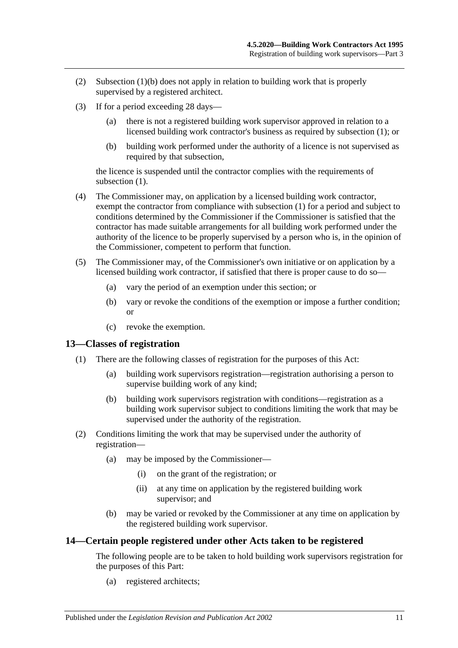- (2) [Subsection](#page-9-4) (1)(b) does not apply in relation to building work that is properly supervised by a registered architect.
- (3) If for a period exceeding 28 days—
	- (a) there is not a registered building work supervisor approved in relation to a licensed building work contractor's business as required by [subsection](#page-9-5) (1); or
	- (b) building work performed under the authority of a licence is not supervised as required by that subsection,

the licence is suspended until the contractor complies with the requirements of [subsection](#page-9-5)  $(1)$ .

- (4) The Commissioner may, on application by a licensed building work contractor, exempt the contractor from compliance with [subsection](#page-9-5) (1) for a period and subject to conditions determined by the Commissioner if the Commissioner is satisfied that the contractor has made suitable arrangements for all building work performed under the authority of the licence to be properly supervised by a person who is, in the opinion of the Commissioner, competent to perform that function.
- (5) The Commissioner may, of the Commissioner's own initiative or on application by a licensed building work contractor, if satisfied that there is proper cause to do so—
	- (a) vary the period of an exemption under this section; or
	- (b) vary or revoke the conditions of the exemption or impose a further condition; or
	- (c) revoke the exemption.

#### <span id="page-10-0"></span>**13—Classes of registration**

- (1) There are the following classes of registration for the purposes of this Act:
	- (a) building work supervisors registration—registration authorising a person to supervise building work of any kind;
	- (b) building work supervisors registration with conditions—registration as a building work supervisor subject to conditions limiting the work that may be supervised under the authority of the registration.
- (2) Conditions limiting the work that may be supervised under the authority of registration—
	- (a) may be imposed by the Commissioner—
		- (i) on the grant of the registration; or
		- (ii) at any time on application by the registered building work supervisor; and
	- (b) may be varied or revoked by the Commissioner at any time on application by the registered building work supervisor.

#### <span id="page-10-1"></span>**14—Certain people registered under other Acts taken to be registered**

The following people are to be taken to hold building work supervisors registration for the purposes of this Part:

(a) registered architects;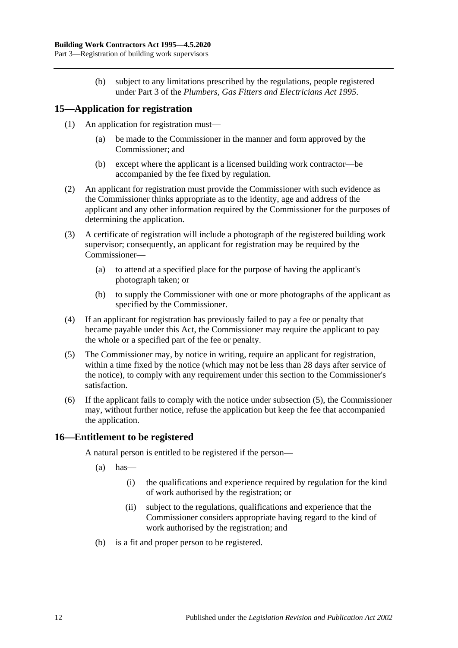(b) subject to any limitations prescribed by the regulations, people registered under Part 3 of the *[Plumbers, Gas Fitters and Electricians Act](http://www.legislation.sa.gov.au/index.aspx?action=legref&type=act&legtitle=Plumbers%20Gas%20Fitters%20and%20Electricians%20Act%201995) 1995*.

### <span id="page-11-0"></span>**15—Application for registration**

- (1) An application for registration must—
	- (a) be made to the Commissioner in the manner and form approved by the Commissioner; and
	- (b) except where the applicant is a licensed building work contractor—be accompanied by the fee fixed by regulation.
- (2) An applicant for registration must provide the Commissioner with such evidence as the Commissioner thinks appropriate as to the identity, age and address of the applicant and any other information required by the Commissioner for the purposes of determining the application.
- (3) A certificate of registration will include a photograph of the registered building work supervisor; consequently, an applicant for registration may be required by the Commissioner—
	- (a) to attend at a specified place for the purpose of having the applicant's photograph taken; or
	- (b) to supply the Commissioner with one or more photographs of the applicant as specified by the Commissioner.
- (4) If an applicant for registration has previously failed to pay a fee or penalty that became payable under this Act, the Commissioner may require the applicant to pay the whole or a specified part of the fee or penalty.
- <span id="page-11-2"></span>(5) The Commissioner may, by notice in writing, require an applicant for registration, within a time fixed by the notice (which may not be less than 28 days after service of the notice), to comply with any requirement under this section to the Commissioner's satisfaction.
- (6) If the applicant fails to comply with the notice under [subsection](#page-11-2) (5), the Commissioner may, without further notice, refuse the application but keep the fee that accompanied the application.

### <span id="page-11-1"></span>**16—Entitlement to be registered**

A natural person is entitled to be registered if the person—

- $(a)$  has—
	- (i) the qualifications and experience required by regulation for the kind of work authorised by the registration; or
	- (ii) subject to the regulations, qualifications and experience that the Commissioner considers appropriate having regard to the kind of work authorised by the registration; and
- (b) is a fit and proper person to be registered.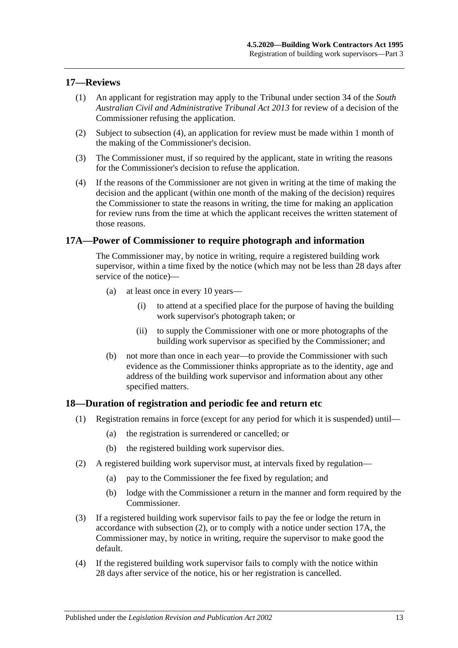#### <span id="page-12-0"></span>**17—Reviews**

- (1) An applicant for registration may apply to the Tribunal under section 34 of the *[South](http://www.legislation.sa.gov.au/index.aspx?action=legref&type=act&legtitle=South%20Australian%20Civil%20and%20Administrative%20Tribunal%20Act%202013)  [Australian Civil and Administrative Tribunal Act](http://www.legislation.sa.gov.au/index.aspx?action=legref&type=act&legtitle=South%20Australian%20Civil%20and%20Administrative%20Tribunal%20Act%202013) 2013* for review of a decision of the Commissioner refusing the application.
- (2) Subject to [subsection](#page-12-3) (4), an application for review must be made within 1 month of the making of the Commissioner's decision.
- (3) The Commissioner must, if so required by the applicant, state in writing the reasons for the Commissioner's decision to refuse the application.
- <span id="page-12-3"></span>(4) If the reasons of the Commissioner are not given in writing at the time of making the decision and the applicant (within one month of the making of the decision) requires the Commissioner to state the reasons in writing, the time for making an application for review runs from the time at which the applicant receives the written statement of those reasons.

#### <span id="page-12-1"></span>**17A—Power of Commissioner to require photograph and information**

The Commissioner may, by notice in writing, require a registered building work supervisor, within a time fixed by the notice (which may not be less than 28 days after service of the notice)—

- (a) at least once in every 10 years—
	- (i) to attend at a specified place for the purpose of having the building work supervisor's photograph taken; or
	- (ii) to supply the Commissioner with one or more photographs of the building work supervisor as specified by the Commissioner; and
- (b) not more than once in each year—to provide the Commissioner with such evidence as the Commissioner thinks appropriate as to the identity, age and address of the building work supervisor and information about any other specified matters.

#### <span id="page-12-2"></span>**18—Duration of registration and periodic fee and return etc**

- (1) Registration remains in force (except for any period for which it is suspended) until—
	- (a) the registration is surrendered or cancelled; or
	- (b) the registered building work supervisor dies.
- <span id="page-12-4"></span>(2) A registered building work supervisor must, at intervals fixed by regulation—
	- (a) pay to the Commissioner the fee fixed by regulation; and
	- (b) lodge with the Commissioner a return in the manner and form required by the Commissioner.
- (3) If a registered building work supervisor fails to pay the fee or lodge the return in accordance with [subsection](#page-12-4) (2), or to comply with a notice under [section](#page-12-1) 17A, the Commissioner may, by notice in writing, require the supervisor to make good the default.
- (4) If the registered building work supervisor fails to comply with the notice within 28 days after service of the notice, his or her registration is cancelled.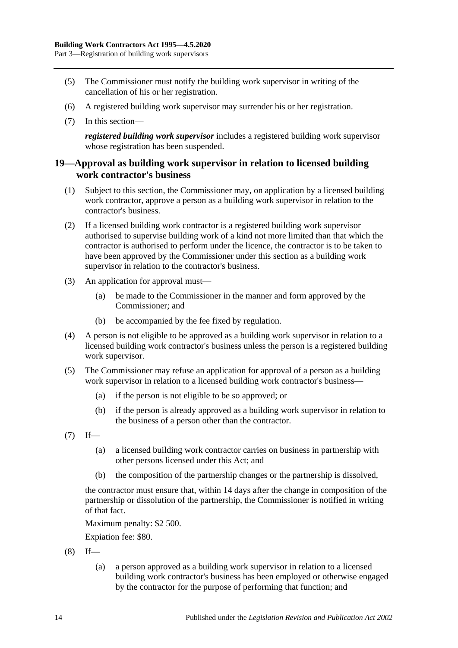- (5) The Commissioner must notify the building work supervisor in writing of the cancellation of his or her registration.
- (6) A registered building work supervisor may surrender his or her registration.
- (7) In this section—

*registered building work supervisor* includes a registered building work supervisor whose registration has been suspended.

#### <span id="page-13-0"></span>**19—Approval as building work supervisor in relation to licensed building work contractor's business**

- (1) Subject to this section, the Commissioner may, on application by a licensed building work contractor, approve a person as a building work supervisor in relation to the contractor's business.
- (2) If a licensed building work contractor is a registered building work supervisor authorised to supervise building work of a kind not more limited than that which the contractor is authorised to perform under the licence, the contractor is to be taken to have been approved by the Commissioner under this section as a building work supervisor in relation to the contractor's business.
- (3) An application for approval must—
	- (a) be made to the Commissioner in the manner and form approved by the Commissioner; and
	- (b) be accompanied by the fee fixed by regulation.
- (4) A person is not eligible to be approved as a building work supervisor in relation to a licensed building work contractor's business unless the person is a registered building work supervisor.
- (5) The Commissioner may refuse an application for approval of a person as a building work supervisor in relation to a licensed building work contractor's business—
	- (a) if the person is not eligible to be so approved; or
	- (b) if the person is already approved as a building work supervisor in relation to the business of a person other than the contractor.
- $(7)$  If—
	- (a) a licensed building work contractor carries on business in partnership with other persons licensed under this Act; and
	- (b) the composition of the partnership changes or the partnership is dissolved,

the contractor must ensure that, within 14 days after the change in composition of the partnership or dissolution of the partnership, the Commissioner is notified in writing of that fact.

Maximum penalty: \$2 500.

Expiation fee: \$80.

- $(8)$  If—
	- (a) a person approved as a building work supervisor in relation to a licensed building work contractor's business has been employed or otherwise engaged by the contractor for the purpose of performing that function; and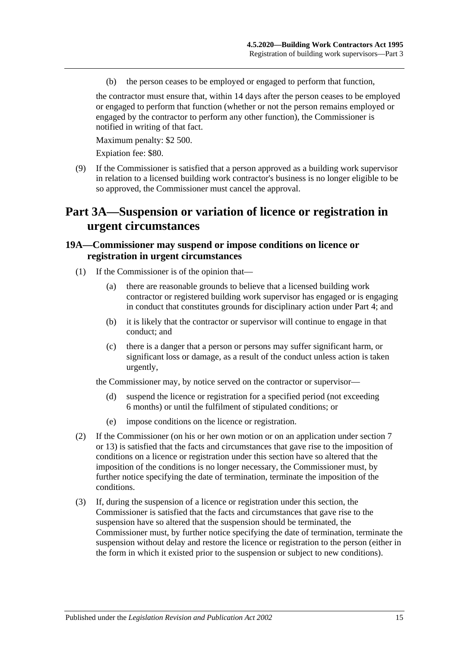(b) the person ceases to be employed or engaged to perform that function,

the contractor must ensure that, within 14 days after the person ceases to be employed or engaged to perform that function (whether or not the person remains employed or engaged by the contractor to perform any other function), the Commissioner is notified in writing of that fact.

Maximum penalty: \$2 500.

Expiation fee: \$80.

(9) If the Commissioner is satisfied that a person approved as a building work supervisor in relation to a licensed building work contractor's business is no longer eligible to be so approved, the Commissioner must cancel the approval.

## <span id="page-14-0"></span>**Part 3A—Suspension or variation of licence or registration in urgent circumstances**

#### <span id="page-14-1"></span>**19A—Commissioner may suspend or impose conditions on licence or registration in urgent circumstances**

- (1) If the Commissioner is of the opinion that—
	- (a) there are reasonable grounds to believe that a licensed building work contractor or registered building work supervisor has engaged or is engaging in conduct that constitutes grounds for disciplinary action under [Part 4;](#page-16-0) and
	- (b) it is likely that the contractor or supervisor will continue to engage in that conduct; and
	- (c) there is a danger that a person or persons may suffer significant harm, or significant loss or damage, as a result of the conduct unless action is taken urgently,

the Commissioner may, by notice served on the contractor or supervisor—

- (d) suspend the licence or registration for a specified period (not exceeding 6 months) or until the fulfilment of stipulated conditions; or
- (e) impose conditions on the licence or registration.
- (2) If the Commissioner (on his or her own motion or on an application under [section](#page-5-0) 7 or [13\)](#page-10-0) is satisfied that the facts and circumstances that gave rise to the imposition of conditions on a licence or registration under this section have so altered that the imposition of the conditions is no longer necessary, the Commissioner must, by further notice specifying the date of termination, terminate the imposition of the conditions.
- (3) If, during the suspension of a licence or registration under this section, the Commissioner is satisfied that the facts and circumstances that gave rise to the suspension have so altered that the suspension should be terminated, the Commissioner must, by further notice specifying the date of termination, terminate the suspension without delay and restore the licence or registration to the person (either in the form in which it existed prior to the suspension or subject to new conditions).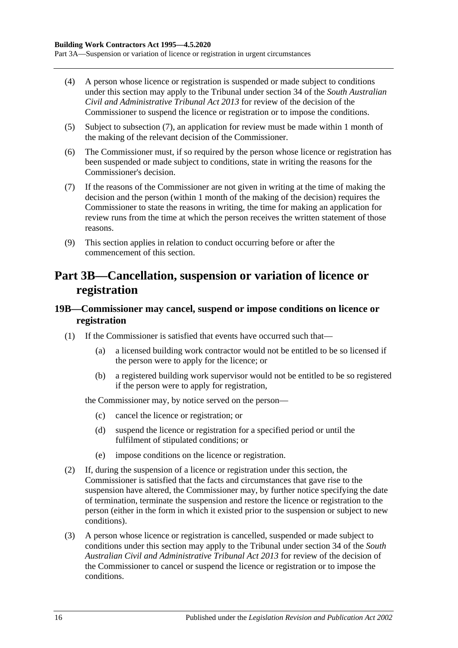Part 3A—Suspension or variation of licence or registration in urgent circumstances

- (4) A person whose licence or registration is suspended or made subject to conditions under this section may apply to the Tribunal under section 34 of the *[South Australian](http://www.legislation.sa.gov.au/index.aspx?action=legref&type=act&legtitle=South%20Australian%20Civil%20and%20Administrative%20Tribunal%20Act%202013)  [Civil and Administrative Tribunal Act](http://www.legislation.sa.gov.au/index.aspx?action=legref&type=act&legtitle=South%20Australian%20Civil%20and%20Administrative%20Tribunal%20Act%202013) 2013* for review of the decision of the Commissioner to suspend the licence or registration or to impose the conditions.
- (5) Subject to subsection (7), an application for review must be made within 1 month of the making of the relevant decision of the Commissioner.
- (6) The Commissioner must, if so required by the person whose licence or registration has been suspended or made subject to conditions, state in writing the reasons for the Commissioner's decision.
- (7) If the reasons of the Commissioner are not given in writing at the time of making the decision and the person (within 1 month of the making of the decision) requires the Commissioner to state the reasons in writing, the time for making an application for review runs from the time at which the person receives the written statement of those reasons.
- (9) This section applies in relation to conduct occurring before or after the commencement of this section.

## <span id="page-15-0"></span>**Part 3B—Cancellation, suspension or variation of licence or registration**

### <span id="page-15-1"></span>**19B—Commissioner may cancel, suspend or impose conditions on licence or registration**

- (1) If the Commissioner is satisfied that events have occurred such that—
	- (a) a licensed building work contractor would not be entitled to be so licensed if the person were to apply for the licence; or
	- (b) a registered building work supervisor would not be entitled to be so registered if the person were to apply for registration,

the Commissioner may, by notice served on the person—

- (c) cancel the licence or registration; or
- (d) suspend the licence or registration for a specified period or until the fulfilment of stipulated conditions; or
- (e) impose conditions on the licence or registration.
- (2) If, during the suspension of a licence or registration under this section, the Commissioner is satisfied that the facts and circumstances that gave rise to the suspension have altered, the Commissioner may, by further notice specifying the date of termination, terminate the suspension and restore the licence or registration to the person (either in the form in which it existed prior to the suspension or subject to new conditions).
- (3) A person whose licence or registration is cancelled, suspended or made subject to conditions under this section may apply to the Tribunal under section 34 of the *[South](http://www.legislation.sa.gov.au/index.aspx?action=legref&type=act&legtitle=South%20Australian%20Civil%20and%20Administrative%20Tribunal%20Act%202013)  [Australian Civil and Administrative Tribunal Act](http://www.legislation.sa.gov.au/index.aspx?action=legref&type=act&legtitle=South%20Australian%20Civil%20and%20Administrative%20Tribunal%20Act%202013) 2013* for review of the decision of the Commissioner to cancel or suspend the licence or registration or to impose the conditions.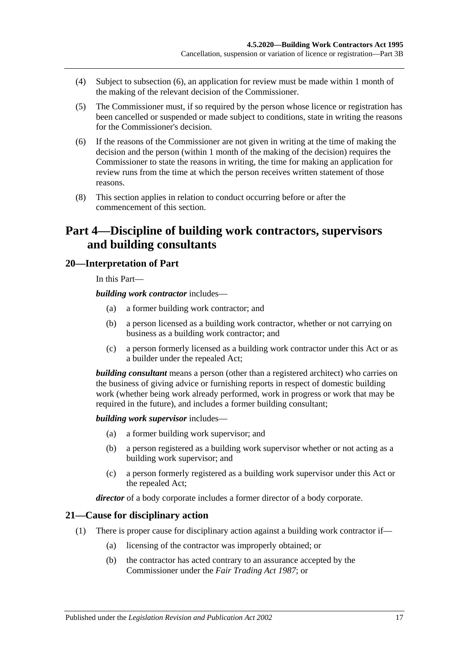- (4) Subject to subsection (6), an application for review must be made within 1 month of the making of the relevant decision of the Commissioner.
- (5) The Commissioner must, if so required by the person whose licence or registration has been cancelled or suspended or made subject to conditions, state in writing the reasons for the Commissioner's decision.
- (6) If the reasons of the Commissioner are not given in writing at the time of making the decision and the person (within 1 month of the making of the decision) requires the Commissioner to state the reasons in writing, the time for making an application for review runs from the time at which the person receives written statement of those reasons.
- (8) This section applies in relation to conduct occurring before or after the commencement of this section.

## <span id="page-16-0"></span>**Part 4—Discipline of building work contractors, supervisors and building consultants**

### <span id="page-16-1"></span>**20—Interpretation of Part**

In this Part—

*building work contractor* includes—

- (a) a former building work contractor; and
- (b) a person licensed as a building work contractor, whether or not carrying on business as a building work contractor; and
- (c) a person formerly licensed as a building work contractor under this Act or as a builder under the repealed Act;

*building consultant* means a person (other than a registered architect) who carries on the business of giving advice or furnishing reports in respect of domestic building work (whether being work already performed, work in progress or work that may be required in the future), and includes a former building consultant;

*building work supervisor* includes—

- (a) a former building work supervisor; and
- (b) a person registered as a building work supervisor whether or not acting as a building work supervisor; and
- (c) a person formerly registered as a building work supervisor under this Act or the repealed Act;

*director* of a body corporate includes a former director of a body corporate.

#### <span id="page-16-2"></span>**21—Cause for disciplinary action**

- (1) There is proper cause for disciplinary action against a building work contractor if—
	- (a) licensing of the contractor was improperly obtained; or
	- (b) the contractor has acted contrary to an assurance accepted by the Commissioner under the *[Fair Trading Act](http://www.legislation.sa.gov.au/index.aspx?action=legref&type=act&legtitle=Fair%20Trading%20Act%201987) 1987*; or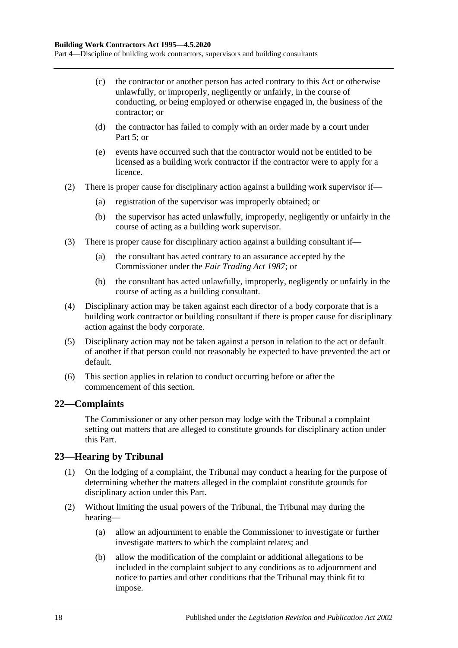Part 4—Discipline of building work contractors, supervisors and building consultants

- (c) the contractor or another person has acted contrary to this Act or otherwise unlawfully, or improperly, negligently or unfairly, in the course of conducting, or being employed or otherwise engaged in, the business of the contractor; or
- (d) the contractor has failed to comply with an order made by a court under [Part](#page-19-1) 5; or
- (e) events have occurred such that the contractor would not be entitled to be licensed as a building work contractor if the contractor were to apply for a licence.
- (2) There is proper cause for disciplinary action against a building work supervisor if—
	- (a) registration of the supervisor was improperly obtained; or
	- (b) the supervisor has acted unlawfully, improperly, negligently or unfairly in the course of acting as a building work supervisor.
- (3) There is proper cause for disciplinary action against a building consultant if—
	- (a) the consultant has acted contrary to an assurance accepted by the Commissioner under the *[Fair Trading Act](http://www.legislation.sa.gov.au/index.aspx?action=legref&type=act&legtitle=Fair%20Trading%20Act%201987) 1987*; or
	- (b) the consultant has acted unlawfully, improperly, negligently or unfairly in the course of acting as a building consultant.
- (4) Disciplinary action may be taken against each director of a body corporate that is a building work contractor or building consultant if there is proper cause for disciplinary action against the body corporate.
- (5) Disciplinary action may not be taken against a person in relation to the act or default of another if that person could not reasonably be expected to have prevented the act or default.
- (6) This section applies in relation to conduct occurring before or after the commencement of this section.

### <span id="page-17-0"></span>**22—Complaints**

The Commissioner or any other person may lodge with the Tribunal a complaint setting out matters that are alleged to constitute grounds for disciplinary action under this Part.

### <span id="page-17-1"></span>**23—Hearing by Tribunal**

- (1) On the lodging of a complaint, the Tribunal may conduct a hearing for the purpose of determining whether the matters alleged in the complaint constitute grounds for disciplinary action under this Part.
- (2) Without limiting the usual powers of the Tribunal, the Tribunal may during the hearing—
	- (a) allow an adjournment to enable the Commissioner to investigate or further investigate matters to which the complaint relates; and
	- (b) allow the modification of the complaint or additional allegations to be included in the complaint subject to any conditions as to adjournment and notice to parties and other conditions that the Tribunal may think fit to impose.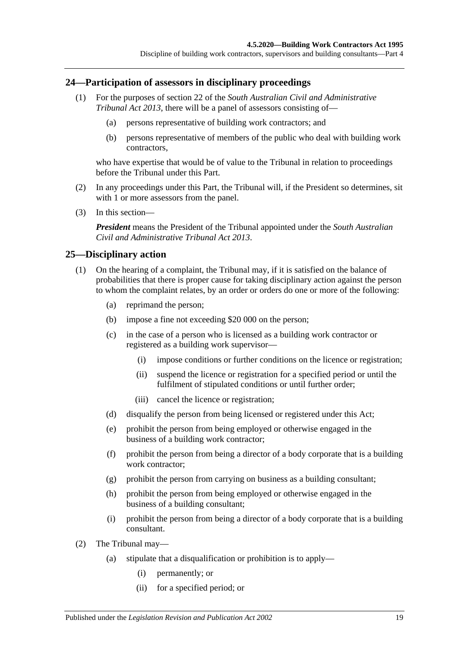#### <span id="page-18-0"></span>**24—Participation of assessors in disciplinary proceedings**

- (1) For the purposes of section 22 of the *[South Australian Civil and Administrative](http://www.legislation.sa.gov.au/index.aspx?action=legref&type=act&legtitle=South%20Australian%20Civil%20and%20Administrative%20Tribunal%20Act%202013)  [Tribunal Act](http://www.legislation.sa.gov.au/index.aspx?action=legref&type=act&legtitle=South%20Australian%20Civil%20and%20Administrative%20Tribunal%20Act%202013) 2013*, there will be a panel of assessors consisting of—
	- (a) persons representative of building work contractors; and
	- (b) persons representative of members of the public who deal with building work contractors,

who have expertise that would be of value to the Tribunal in relation to proceedings before the Tribunal under this Part.

- (2) In any proceedings under this Part, the Tribunal will, if the President so determines, sit with 1 or more assessors from the panel.
- (3) In this section—

*President* means the President of the Tribunal appointed under the *[South Australian](http://www.legislation.sa.gov.au/index.aspx?action=legref&type=act&legtitle=South%20Australian%20Civil%20and%20Administrative%20Tribunal%20Act%202013)  [Civil and Administrative Tribunal Act](http://www.legislation.sa.gov.au/index.aspx?action=legref&type=act&legtitle=South%20Australian%20Civil%20and%20Administrative%20Tribunal%20Act%202013) 2013*.

#### <span id="page-18-1"></span>**25—Disciplinary action**

- (1) On the hearing of a complaint, the Tribunal may, if it is satisfied on the balance of probabilities that there is proper cause for taking disciplinary action against the person to whom the complaint relates, by an order or orders do one or more of the following:
	- (a) reprimand the person;
	- (b) impose a fine not exceeding \$20 000 on the person;
	- (c) in the case of a person who is licensed as a building work contractor or registered as a building work supervisor—
		- (i) impose conditions or further conditions on the licence or registration;
		- (ii) suspend the licence or registration for a specified period or until the fulfilment of stipulated conditions or until further order;
		- (iii) cancel the licence or registration;
	- (d) disqualify the person from being licensed or registered under this Act;
	- (e) prohibit the person from being employed or otherwise engaged in the business of a building work contractor;
	- (f) prohibit the person from being a director of a body corporate that is a building work contractor:
	- (g) prohibit the person from carrying on business as a building consultant;
	- (h) prohibit the person from being employed or otherwise engaged in the business of a building consultant;
	- (i) prohibit the person from being a director of a body corporate that is a building consultant.
- (2) The Tribunal may—
	- (a) stipulate that a disqualification or prohibition is to apply—
		- (i) permanently; or
		- (ii) for a specified period; or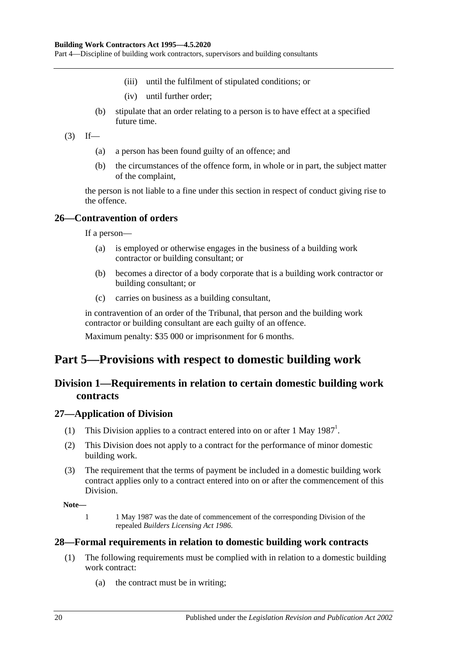Part 4—Discipline of building work contractors, supervisors and building consultants

- (iii) until the fulfilment of stipulated conditions; or
- (iv) until further order;
- (b) stipulate that an order relating to a person is to have effect at a specified future time.
- $(3)$  If—
	- (a) a person has been found guilty of an offence; and
	- (b) the circumstances of the offence form, in whole or in part, the subject matter of the complaint,

the person is not liable to a fine under this section in respect of conduct giving rise to the offence.

#### <span id="page-19-0"></span>**26—Contravention of orders**

If a person—

- (a) is employed or otherwise engages in the business of a building work contractor or building consultant; or
- (b) becomes a director of a body corporate that is a building work contractor or building consultant; or
- (c) carries on business as a building consultant,

in contravention of an order of the Tribunal, that person and the building work contractor or building consultant are each guilty of an offence. Maximum penalty: \$35 000 or imprisonment for 6 months.

## <span id="page-19-2"></span><span id="page-19-1"></span>**Part 5—Provisions with respect to domestic building work**

### **Division 1—Requirements in relation to certain domestic building work contracts**

#### <span id="page-19-3"></span>**27—Application of Division**

- (1) This Division applies to a contract entered into on or after 1 May  $1987<sup>1</sup>$ .
- (2) This Division does not apply to a contract for the performance of minor domestic building work.
- (3) The requirement that the terms of payment be included in a domestic building work contract applies only to a contract entered into on or after the commencement of this Division.

**Note—**

1 1 May 1987 was the date of commencement of the corresponding Division of the repealed *[Builders Licensing Act](http://www.legislation.sa.gov.au/index.aspx?action=legref&type=act&legtitle=Builders%20Licensing%20Act%201986) 1986*.

#### <span id="page-19-5"></span><span id="page-19-4"></span>**28—Formal requirements in relation to domestic building work contracts**

- (1) The following requirements must be complied with in relation to a domestic building work contract:
	- (a) the contract must be in writing;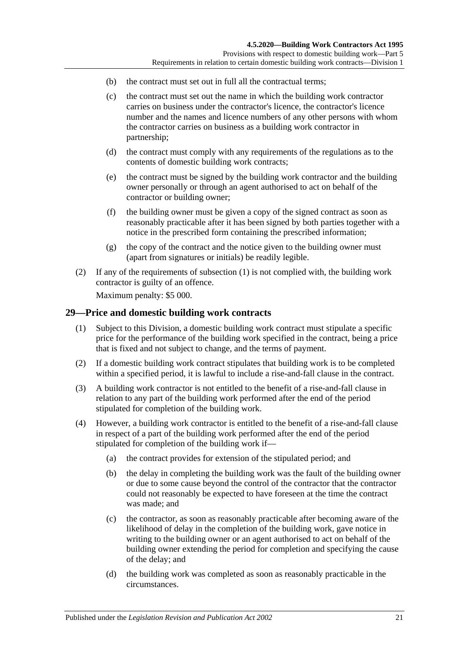- (b) the contract must set out in full all the contractual terms;
- (c) the contract must set out the name in which the building work contractor carries on business under the contractor's licence, the contractor's licence number and the names and licence numbers of any other persons with whom the contractor carries on business as a building work contractor in partnership;
- (d) the contract must comply with any requirements of the regulations as to the contents of domestic building work contracts;
- (e) the contract must be signed by the building work contractor and the building owner personally or through an agent authorised to act on behalf of the contractor or building owner;
- (f) the building owner must be given a copy of the signed contract as soon as reasonably practicable after it has been signed by both parties together with a notice in the prescribed form containing the prescribed information;
- (g) the copy of the contract and the notice given to the building owner must (apart from signatures or initials) be readily legible.
- (2) If any of the requirements of [subsection](#page-19-5) (1) is not complied with, the building work contractor is guilty of an offence.

Maximum penalty: \$5 000.

#### <span id="page-20-0"></span>**29—Price and domestic building work contracts**

- (1) Subject to this Division, a domestic building work contract must stipulate a specific price for the performance of the building work specified in the contract, being a price that is fixed and not subject to change, and the terms of payment.
- (2) If a domestic building work contract stipulates that building work is to be completed within a specified period, it is lawful to include a rise-and-fall clause in the contract.
- (3) A building work contractor is not entitled to the benefit of a rise-and-fall clause in relation to any part of the building work performed after the end of the period stipulated for completion of the building work.
- (4) However, a building work contractor is entitled to the benefit of a rise-and-fall clause in respect of a part of the building work performed after the end of the period stipulated for completion of the building work if—
	- (a) the contract provides for extension of the stipulated period; and
	- (b) the delay in completing the building work was the fault of the building owner or due to some cause beyond the control of the contractor that the contractor could not reasonably be expected to have foreseen at the time the contract was made; and
	- (c) the contractor, as soon as reasonably practicable after becoming aware of the likelihood of delay in the completion of the building work, gave notice in writing to the building owner or an agent authorised to act on behalf of the building owner extending the period for completion and specifying the cause of the delay; and
	- (d) the building work was completed as soon as reasonably practicable in the circumstances.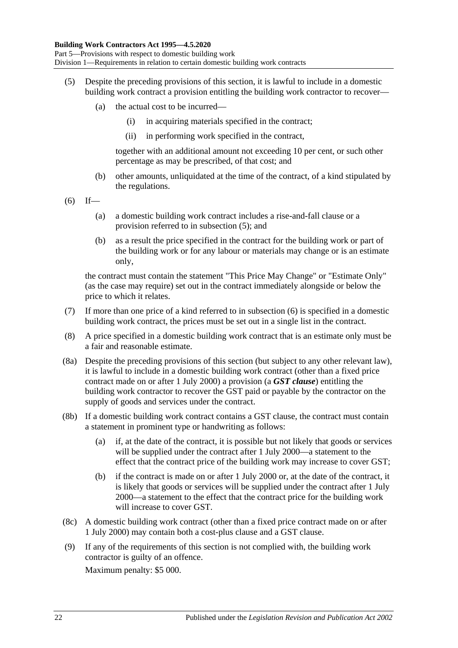- <span id="page-21-0"></span>(5) Despite the preceding provisions of this section, it is lawful to include in a domestic building work contract a provision entitling the building work contractor to recover—
	- (a) the actual cost to be incurred—
		- (i) in acquiring materials specified in the contract;
		- (ii) in performing work specified in the contract,

together with an additional amount not exceeding 10 per cent, or such other percentage as may be prescribed, of that cost; and

- (b) other amounts, unliquidated at the time of the contract, of a kind stipulated by the regulations.
- <span id="page-21-1"></span> $(6)$  If—
	- (a) a domestic building work contract includes a rise-and-fall clause or a provision referred to in [subsection](#page-21-0) (5); and
	- (b) as a result the price specified in the contract for the building work or part of the building work or for any labour or materials may change or is an estimate only,

the contract must contain the statement "This Price May Change" or "Estimate Only" (as the case may require) set out in the contract immediately alongside or below the price to which it relates.

- (7) If more than one price of a kind referred to in [subsection](#page-21-1) (6) is specified in a domestic building work contract, the prices must be set out in a single list in the contract.
- (8) A price specified in a domestic building work contract that is an estimate only must be a fair and reasonable estimate.
- <span id="page-21-2"></span>(8a) Despite the preceding provisions of this section (but subject to any other relevant law), it is lawful to include in a domestic building work contract (other than a fixed price contract made on or after 1 July 2000) a provision (a *GST clause*) entitling the building work contractor to recover the GST paid or payable by the contractor on the supply of goods and services under the contract.
- (8b) If a domestic building work contract contains a GST clause, the contract must contain a statement in prominent type or handwriting as follows:
	- (a) if, at the date of the contract, it is possible but not likely that goods or services will be supplied under the contract after 1 July 2000—a statement to the effect that the contract price of the building work may increase to cover GST;
	- (b) if the contract is made on or after 1 July 2000 or, at the date of the contract, it is likely that goods or services will be supplied under the contract after 1 July 2000—a statement to the effect that the contract price for the building work will increase to cover GST.
- (8c) A domestic building work contract (other than a fixed price contract made on or after 1 July 2000) may contain both a cost-plus clause and a GST clause.
- (9) If any of the requirements of this section is not complied with, the building work contractor is guilty of an offence.

Maximum penalty: \$5 000.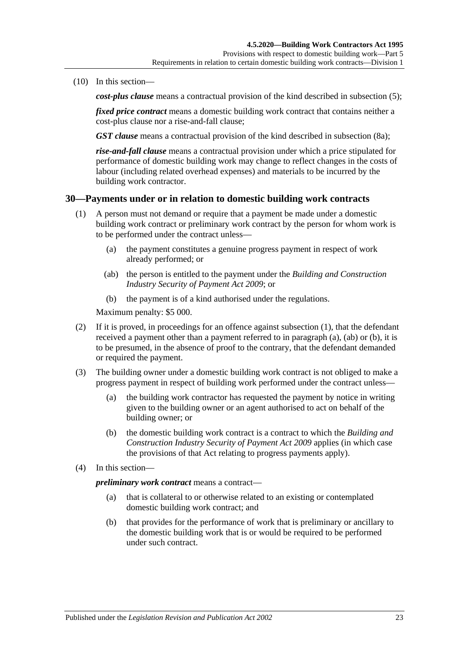(10) In this section—

*cost-plus clause* means a contractual provision of the kind described in [subsection](#page-21-0) (5);

*fixed price contract* means a domestic building work contract that contains neither a cost-plus clause nor a rise-and-fall clause;

*GST clause* means a contractual provision of the kind described in [subsection](#page-21-2) (8a);

*rise-and-fall clause* means a contractual provision under which a price stipulated for performance of domestic building work may change to reflect changes in the costs of labour (including related overhead expenses) and materials to be incurred by the building work contractor.

#### <span id="page-22-1"></span><span id="page-22-0"></span>**30—Payments under or in relation to domestic building work contracts**

- <span id="page-22-2"></span>(1) A person must not demand or require that a payment be made under a domestic building work contract or preliminary work contract by the person for whom work is to be performed under the contract unless—
	- (a) the payment constitutes a genuine progress payment in respect of work already performed; or
	- (ab) the person is entitled to the payment under the *[Building and Construction](http://www.legislation.sa.gov.au/index.aspx?action=legref&type=act&legtitle=Building%20and%20Construction%20Industry%20Security%20of%20Payment%20Act%202009)  [Industry Security of Payment Act](http://www.legislation.sa.gov.au/index.aspx?action=legref&type=act&legtitle=Building%20and%20Construction%20Industry%20Security%20of%20Payment%20Act%202009) 2009*; or
	- (b) the payment is of a kind authorised under the regulations.

<span id="page-22-3"></span>Maximum penalty: \$5 000.

- <span id="page-22-4"></span>(2) If it is proved, in proceedings for an offence against [subsection](#page-22-1) (1), that the defendant received a payment other than a payment referred to in [paragraph](#page-22-2) (a), [\(ab\)](#page-22-3) or [\(b\),](#page-22-4) it is to be presumed, in the absence of proof to the contrary, that the defendant demanded or required the payment.
- (3) The building owner under a domestic building work contract is not obliged to make a progress payment in respect of building work performed under the contract unless—
	- (a) the building work contractor has requested the payment by notice in writing given to the building owner or an agent authorised to act on behalf of the building owner; or
	- (b) the domestic building work contract is a contract to which the *[Building and](http://www.legislation.sa.gov.au/index.aspx?action=legref&type=act&legtitle=Building%20and%20Construction%20Industry%20Security%20of%20Payment%20Act%202009)  [Construction Industry Security of Payment Act](http://www.legislation.sa.gov.au/index.aspx?action=legref&type=act&legtitle=Building%20and%20Construction%20Industry%20Security%20of%20Payment%20Act%202009) 2009* applies (in which case the provisions of that Act relating to progress payments apply).
- (4) In this section—

*preliminary work contract* means a contract—

- (a) that is collateral to or otherwise related to an existing or contemplated domestic building work contract; and
- (b) that provides for the performance of work that is preliminary or ancillary to the domestic building work that is or would be required to be performed under such contract.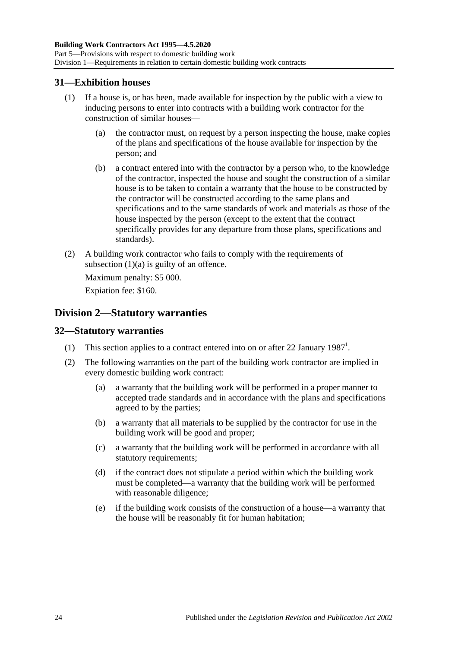### <span id="page-23-0"></span>**31—Exhibition houses**

- <span id="page-23-3"></span>(1) If a house is, or has been, made available for inspection by the public with a view to inducing persons to enter into contracts with a building work contractor for the construction of similar houses—
	- (a) the contractor must, on request by a person inspecting the house, make copies of the plans and specifications of the house available for inspection by the person; and
	- (b) a contract entered into with the contractor by a person who, to the knowledge of the contractor, inspected the house and sought the construction of a similar house is to be taken to contain a warranty that the house to be constructed by the contractor will be constructed according to the same plans and specifications and to the same standards of work and materials as those of the house inspected by the person (except to the extent that the contract specifically provides for any departure from those plans, specifications and standards).
- (2) A building work contractor who fails to comply with the requirements of [subsection](#page-23-3)  $(1)(a)$  is guilty of an offence.

Maximum penalty: \$5 000.

Expiation fee: \$160.

### <span id="page-23-1"></span>**Division 2—Statutory warranties**

### <span id="page-23-2"></span>**32—Statutory warranties**

- (1) This section applies to a contract entered into on or after 22 January  $1987<sup>1</sup>$ .
- (2) The following warranties on the part of the building work contractor are implied in every domestic building work contract:
	- (a) a warranty that the building work will be performed in a proper manner to accepted trade standards and in accordance with the plans and specifications agreed to by the parties;
	- (b) a warranty that all materials to be supplied by the contractor for use in the building work will be good and proper;
	- (c) a warranty that the building work will be performed in accordance with all statutory requirements;
	- (d) if the contract does not stipulate a period within which the building work must be completed—a warranty that the building work will be performed with reasonable diligence;
	- (e) if the building work consists of the construction of a house—a warranty that the house will be reasonably fit for human habitation;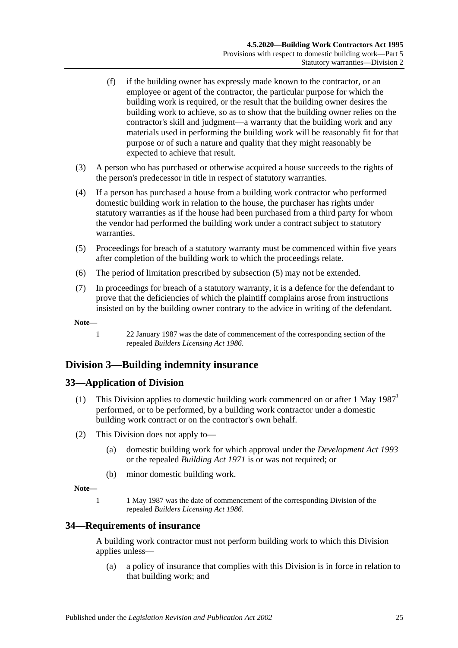- (f) if the building owner has expressly made known to the contractor, or an employee or agent of the contractor, the particular purpose for which the building work is required, or the result that the building owner desires the building work to achieve, so as to show that the building owner relies on the contractor's skill and judgment—a warranty that the building work and any materials used in performing the building work will be reasonably fit for that purpose or of such a nature and quality that they might reasonably be expected to achieve that result.
- (3) A person who has purchased or otherwise acquired a house succeeds to the rights of the person's predecessor in title in respect of statutory warranties.
- (4) If a person has purchased a house from a building work contractor who performed domestic building work in relation to the house, the purchaser has rights under statutory warranties as if the house had been purchased from a third party for whom the vendor had performed the building work under a contract subject to statutory warranties.
- <span id="page-24-3"></span>(5) Proceedings for breach of a statutory warranty must be commenced within five years after completion of the building work to which the proceedings relate.
- (6) The period of limitation prescribed by [subsection](#page-24-3) (5) may not be extended.
- (7) In proceedings for breach of a statutory warranty, it is a defence for the defendant to prove that the deficiencies of which the plaintiff complains arose from instructions insisted on by the building owner contrary to the advice in writing of the defendant.

**Note—**

1 22 January 1987 was the date of commencement of the corresponding section of the repealed *[Builders Licensing Act](http://www.legislation.sa.gov.au/index.aspx?action=legref&type=act&legtitle=Builders%20Licensing%20Act%201986) 1986*.

### <span id="page-24-0"></span>**Division 3—Building indemnity insurance**

### <span id="page-24-1"></span>**33—Application of Division**

- (1) This Division applies to domestic building work commenced on or after 1 May 1987<sup>1</sup> performed, or to be performed, by a building work contractor under a domestic building work contract or on the contractor's own behalf.
- (2) This Division does not apply to—
	- (a) domestic building work for which approval under the *[Development Act](http://www.legislation.sa.gov.au/index.aspx?action=legref&type=act&legtitle=Development%20Act%201993) 1993* or the repealed *[Building Act](http://www.legislation.sa.gov.au/index.aspx?action=legref&type=act&legtitle=Building%20Act%201971) 1971* is or was not required; or
	- (b) minor domestic building work.

**Note—**

1 1 May 1987 was the date of commencement of the corresponding Division of the repealed *[Builders Licensing Act](http://www.legislation.sa.gov.au/index.aspx?action=legref&type=act&legtitle=Builders%20Licensing%20Act%201986) 1986*.

#### <span id="page-24-2"></span>**34—Requirements of insurance**

A building work contractor must not perform building work to which this Division applies unless—

(a) a policy of insurance that complies with this Division is in force in relation to that building work; and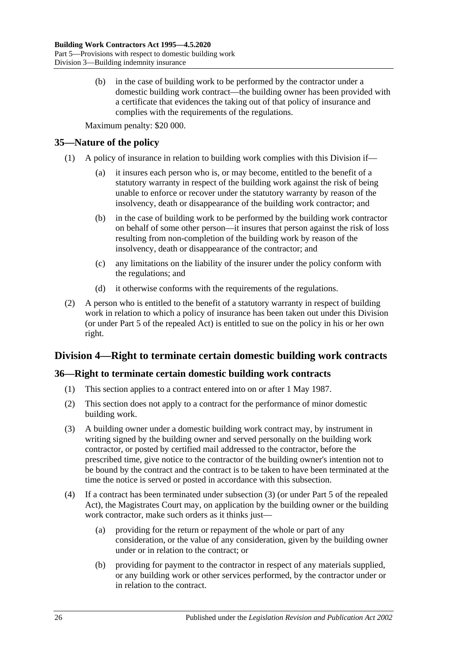(b) in the case of building work to be performed by the contractor under a domestic building work contract—the building owner has been provided with a certificate that evidences the taking out of that policy of insurance and complies with the requirements of the regulations.

Maximum penalty: \$20 000.

### <span id="page-25-0"></span>**35—Nature of the policy**

- (1) A policy of insurance in relation to building work complies with this Division if—
	- (a) it insures each person who is, or may become, entitled to the benefit of a statutory warranty in respect of the building work against the risk of being unable to enforce or recover under the statutory warranty by reason of the insolvency, death or disappearance of the building work contractor; and
	- (b) in the case of building work to be performed by the building work contractor on behalf of some other person—it insures that person against the risk of loss resulting from non-completion of the building work by reason of the insolvency, death or disappearance of the contractor; and
	- (c) any limitations on the liability of the insurer under the policy conform with the regulations; and
	- (d) it otherwise conforms with the requirements of the regulations.
- (2) A person who is entitled to the benefit of a statutory warranty in respect of building work in relation to which a policy of insurance has been taken out under this Division (or under Part 5 of the repealed Act) is entitled to sue on the policy in his or her own right.

## <span id="page-25-1"></span>**Division 4—Right to terminate certain domestic building work contracts**

### <span id="page-25-2"></span>**36—Right to terminate certain domestic building work contracts**

- (1) This section applies to a contract entered into on or after 1 May 1987.
- (2) This section does not apply to a contract for the performance of minor domestic building work.
- <span id="page-25-3"></span>(3) A building owner under a domestic building work contract may, by instrument in writing signed by the building owner and served personally on the building work contractor, or posted by certified mail addressed to the contractor, before the prescribed time, give notice to the contractor of the building owner's intention not to be bound by the contract and the contract is to be taken to have been terminated at the time the notice is served or posted in accordance with this subsection.
- (4) If a contract has been terminated under [subsection](#page-25-3) (3) (or under Part 5 of the repealed Act), the Magistrates Court may, on application by the building owner or the building work contractor, make such orders as it thinks just—
	- (a) providing for the return or repayment of the whole or part of any consideration, or the value of any consideration, given by the building owner under or in relation to the contract; or
	- (b) providing for payment to the contractor in respect of any materials supplied, or any building work or other services performed, by the contractor under or in relation to the contract.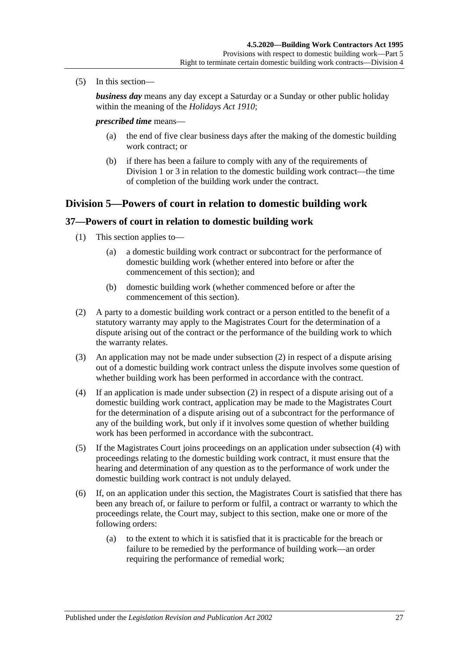(5) In this section—

*business day* means any day except a Saturday or a Sunday or other public holiday within the meaning of the *[Holidays Act](http://www.legislation.sa.gov.au/index.aspx?action=legref&type=act&legtitle=Holidays%20Act%201910) 1910*;

#### *prescribed time* means—

- (a) the end of five clear business days after the making of the domestic building work contract; or
- (b) if there has been a failure to comply with any of the requirements of [Division](#page-19-2) 1 or [3](#page-24-0) in relation to the domestic building work contract—the time of completion of the building work under the contract.

### <span id="page-26-0"></span>**Division 5—Powers of court in relation to domestic building work**

#### <span id="page-26-1"></span>**37—Powers of court in relation to domestic building work**

- (1) This section applies to—
	- (a) a domestic building work contract or subcontract for the performance of domestic building work (whether entered into before or after the commencement of this section); and
	- (b) domestic building work (whether commenced before or after the commencement of this section).
- <span id="page-26-2"></span>(2) A party to a domestic building work contract or a person entitled to the benefit of a statutory warranty may apply to the Magistrates Court for the determination of a dispute arising out of the contract or the performance of the building work to which the warranty relates.
- (3) An application may not be made under [subsection](#page-26-2) (2) in respect of a dispute arising out of a domestic building work contract unless the dispute involves some question of whether building work has been performed in accordance with the contract.
- <span id="page-26-3"></span>(4) If an application is made under [subsection](#page-26-2) (2) in respect of a dispute arising out of a domestic building work contract, application may be made to the Magistrates Court for the determination of a dispute arising out of a subcontract for the performance of any of the building work, but only if it involves some question of whether building work has been performed in accordance with the subcontract.
- (5) If the Magistrates Court joins proceedings on an application under [subsection](#page-26-3) (4) with proceedings relating to the domestic building work contract, it must ensure that the hearing and determination of any question as to the performance of work under the domestic building work contract is not unduly delayed.
- <span id="page-26-4"></span>(6) If, on an application under this section, the Magistrates Court is satisfied that there has been any breach of, or failure to perform or fulfil, a contract or warranty to which the proceedings relate, the Court may, subject to this section, make one or more of the following orders:
	- (a) to the extent to which it is satisfied that it is practicable for the breach or failure to be remedied by the performance of building work—an order requiring the performance of remedial work;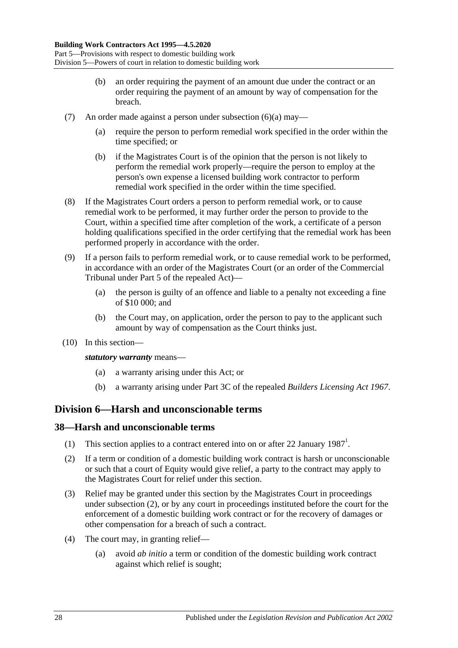- (b) an order requiring the payment of an amount due under the contract or an order requiring the payment of an amount by way of compensation for the breach.
- (7) An order made against a person under [subsection](#page-26-4) (6)(a) may—
	- (a) require the person to perform remedial work specified in the order within the time specified; or
	- (b) if the Magistrates Court is of the opinion that the person is not likely to perform the remedial work properly—require the person to employ at the person's own expense a licensed building work contractor to perform remedial work specified in the order within the time specified.
- (8) If the Magistrates Court orders a person to perform remedial work, or to cause remedial work to be performed, it may further order the person to provide to the Court, within a specified time after completion of the work, a certificate of a person holding qualifications specified in the order certifying that the remedial work has been performed properly in accordance with the order.
- (9) If a person fails to perform remedial work, or to cause remedial work to be performed, in accordance with an order of the Magistrates Court (or an order of the Commercial Tribunal under Part 5 of the repealed Act)—
	- (a) the person is guilty of an offence and liable to a penalty not exceeding a fine of \$10 000; and
	- (b) the Court may, on application, order the person to pay to the applicant such amount by way of compensation as the Court thinks just.
- (10) In this section—

*statutory warranty* means—

- (a) a warranty arising under this Act; or
- (b) a warranty arising under Part 3C of the repealed *[Builders Licensing Act](http://www.legislation.sa.gov.au/index.aspx?action=legref&type=act&legtitle=Builders%20Licensing%20Act%201967) 1967*.

### <span id="page-27-0"></span>**Division 6—Harsh and unconscionable terms**

### <span id="page-27-1"></span>**38—Harsh and unconscionable terms**

- (1) This section applies to a contract entered into on or after 22 January  $1987<sup>1</sup>$ .
- <span id="page-27-2"></span>(2) If a term or condition of a domestic building work contract is harsh or unconscionable or such that a court of Equity would give relief, a party to the contract may apply to the Magistrates Court for relief under this section.
- (3) Relief may be granted under this section by the Magistrates Court in proceedings under [subsection](#page-27-2) (2), or by any court in proceedings instituted before the court for the enforcement of a domestic building work contract or for the recovery of damages or other compensation for a breach of such a contract.
- (4) The court may, in granting relief—
	- (a) avoid *ab initio* a term or condition of the domestic building work contract against which relief is sought;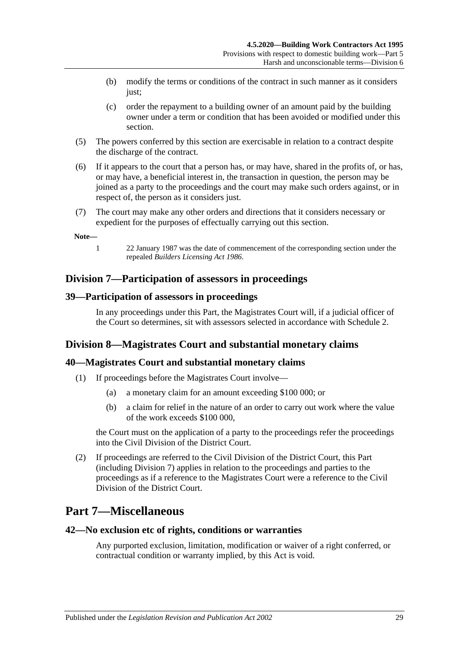- (b) modify the terms or conditions of the contract in such manner as it considers just;
- (c) order the repayment to a building owner of an amount paid by the building owner under a term or condition that has been avoided or modified under this section.
- (5) The powers conferred by this section are exercisable in relation to a contract despite the discharge of the contract.
- (6) If it appears to the court that a person has, or may have, shared in the profits of, or has, or may have, a beneficial interest in, the transaction in question, the person may be joined as a party to the proceedings and the court may make such orders against, or in respect of, the person as it considers just.
- (7) The court may make any other orders and directions that it considers necessary or expedient for the purposes of effectually carrying out this section.

#### **Note—**

- 
- 1 22 January 1987 was the date of commencement of the corresponding section under the repealed *[Builders Licensing Act](http://www.legislation.sa.gov.au/index.aspx?action=legref&type=act&legtitle=Builders%20Licensing%20Act%201986) 1986*.

### <span id="page-28-0"></span>**Division 7—Participation of assessors in proceedings**

### <span id="page-28-1"></span>**39—Participation of assessors in proceedings**

In any proceedings under this Part, the Magistrates Court will, if a judicial officer of the Court so determines, sit with assessors selected in accordance with [Schedule 2.](#page-35-0)

## <span id="page-28-2"></span>**Division 8—Magistrates Court and substantial monetary claims**

### <span id="page-28-3"></span>**40—Magistrates Court and substantial monetary claims**

- (1) If proceedings before the Magistrates Court involve—
	- (a) a monetary claim for an amount exceeding \$100 000; or
	- (b) a claim for relief in the nature of an order to carry out work where the value of the work exceeds \$100 000,

the Court must on the application of a party to the proceedings refer the proceedings into the Civil Division of the District Court.

(2) If proceedings are referred to the Civil Division of the District Court, this Part (including [Division 7\)](#page-28-0) applies in relation to the proceedings and parties to the proceedings as if a reference to the Magistrates Court were a reference to the Civil Division of the District Court.

## <span id="page-28-4"></span>**Part 7—Miscellaneous**

#### <span id="page-28-5"></span>**42—No exclusion etc of rights, conditions or warranties**

Any purported exclusion, limitation, modification or waiver of a right conferred, or contractual condition or warranty implied, by this Act is void.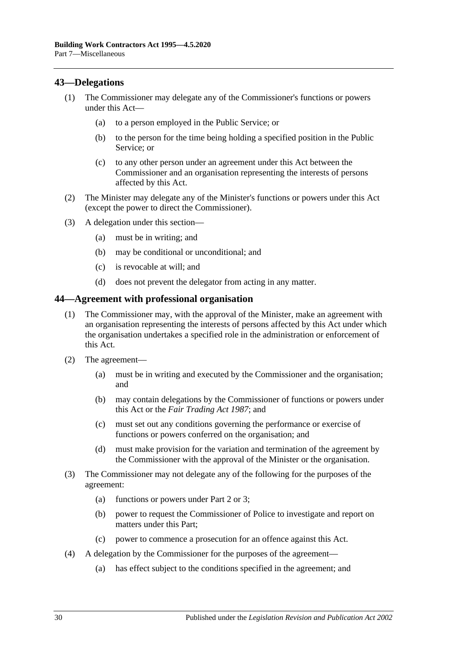### <span id="page-29-0"></span>**43—Delegations**

- (1) The Commissioner may delegate any of the Commissioner's functions or powers under this Act—
	- (a) to a person employed in the Public Service; or
	- (b) to the person for the time being holding a specified position in the Public Service; or
	- (c) to any other person under an agreement under this Act between the Commissioner and an organisation representing the interests of persons affected by this Act.
- (2) The Minister may delegate any of the Minister's functions or powers under this Act (except the power to direct the Commissioner).
- (3) A delegation under this section—
	- (a) must be in writing; and
	- (b) may be conditional or unconditional; and
	- (c) is revocable at will; and
	- (d) does not prevent the delegator from acting in any matter.

#### <span id="page-29-1"></span>**44—Agreement with professional organisation**

- (1) The Commissioner may, with the approval of the Minister, make an agreement with an organisation representing the interests of persons affected by this Act under which the organisation undertakes a specified role in the administration or enforcement of this Act.
- (2) The agreement—
	- (a) must be in writing and executed by the Commissioner and the organisation; and
	- (b) may contain delegations by the Commissioner of functions or powers under this Act or the *[Fair Trading Act](http://www.legislation.sa.gov.au/index.aspx?action=legref&type=act&legtitle=Fair%20Trading%20Act%201987) 1987*; and
	- (c) must set out any conditions governing the performance or exercise of functions or powers conferred on the organisation; and
	- (d) must make provision for the variation and termination of the agreement by the Commissioner with the approval of the Minister or the organisation.
- (3) The Commissioner may not delegate any of the following for the purposes of the agreement:
	- (a) functions or powers under [Part 2](#page-4-2) or [3;](#page-9-1)
	- (b) power to request the Commissioner of Police to investigate and report on matters under this Part;
	- (c) power to commence a prosecution for an offence against this Act.
- (4) A delegation by the Commissioner for the purposes of the agreement—
	- (a) has effect subject to the conditions specified in the agreement; and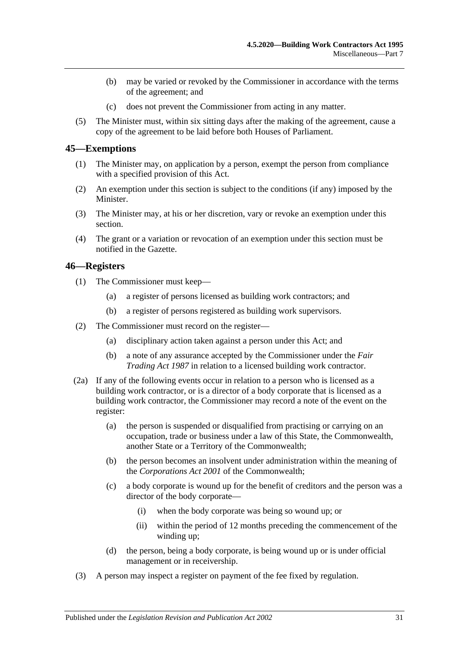- (b) may be varied or revoked by the Commissioner in accordance with the terms of the agreement; and
- (c) does not prevent the Commissioner from acting in any matter.
- (5) The Minister must, within six sitting days after the making of the agreement, cause a copy of the agreement to be laid before both Houses of Parliament.

#### <span id="page-30-0"></span>**45—Exemptions**

- (1) The Minister may, on application by a person, exempt the person from compliance with a specified provision of this Act.
- (2) An exemption under this section is subject to the conditions (if any) imposed by the Minister.
- (3) The Minister may, at his or her discretion, vary or revoke an exemption under this section.
- (4) The grant or a variation or revocation of an exemption under this section must be notified in the Gazette.

#### <span id="page-30-1"></span>**46—Registers**

- (1) The Commissioner must keep—
	- (a) a register of persons licensed as building work contractors; and
	- (b) a register of persons registered as building work supervisors.
- (2) The Commissioner must record on the register—
	- (a) disciplinary action taken against a person under this Act; and
	- (b) a note of any assurance accepted by the Commissioner under the *[Fair](http://www.legislation.sa.gov.au/index.aspx?action=legref&type=act&legtitle=Fair%20Trading%20Act%201987)  [Trading Act](http://www.legislation.sa.gov.au/index.aspx?action=legref&type=act&legtitle=Fair%20Trading%20Act%201987) 1987* in relation to a licensed building work contractor.
- (2a) If any of the following events occur in relation to a person who is licensed as a building work contractor, or is a director of a body corporate that is licensed as a building work contractor, the Commissioner may record a note of the event on the register:
	- (a) the person is suspended or disqualified from practising or carrying on an occupation, trade or business under a law of this State, the Commonwealth, another State or a Territory of the Commonwealth;
	- (b) the person becomes an insolvent under administration within the meaning of the *Corporations Act 2001* of the Commonwealth;
	- (c) a body corporate is wound up for the benefit of creditors and the person was a director of the body corporate—
		- (i) when the body corporate was being so wound up; or
		- (ii) within the period of 12 months preceding the commencement of the winding up;
	- (d) the person, being a body corporate, is being wound up or is under official management or in receivership.
- (3) A person may inspect a register on payment of the fee fixed by regulation.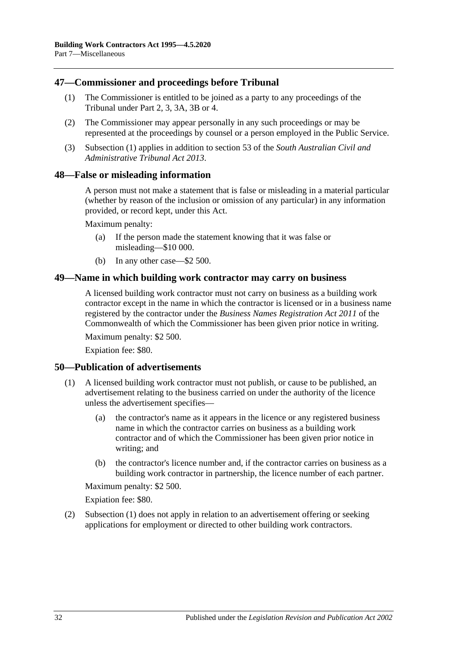#### <span id="page-31-4"></span><span id="page-31-0"></span>**47—Commissioner and proceedings before Tribunal**

- (1) The Commissioner is entitled to be joined as a party to any proceedings of the Tribunal under [Part 2,](#page-4-2) [3,](#page-9-1) [3A,](#page-14-0) [3B](#page-15-0) or [4.](#page-16-0)
- (2) The Commissioner may appear personally in any such proceedings or may be represented at the proceedings by counsel or a person employed in the Public Service.
- (3) [Subsection](#page-31-4) (1) applies in addition to section 53 of the *[South Australian Civil and](http://www.legislation.sa.gov.au/index.aspx?action=legref&type=act&legtitle=South%20Australian%20Civil%20and%20Administrative%20Tribunal%20Act%202013)  [Administrative Tribunal Act](http://www.legislation.sa.gov.au/index.aspx?action=legref&type=act&legtitle=South%20Australian%20Civil%20and%20Administrative%20Tribunal%20Act%202013) 2013*.

#### <span id="page-31-1"></span>**48—False or misleading information**

A person must not make a statement that is false or misleading in a material particular (whether by reason of the inclusion or omission of any particular) in any information provided, or record kept, under this Act.

Maximum penalty:

- (a) If the person made the statement knowing that it was false or misleading—\$10 000.
- (b) In any other case—\$2 500.

#### <span id="page-31-2"></span>**49—Name in which building work contractor may carry on business**

A licensed building work contractor must not carry on business as a building work contractor except in the name in which the contractor is licensed or in a business name registered by the contractor under the *Business Names Registration Act 2011* of the Commonwealth of which the Commissioner has been given prior notice in writing.

Maximum penalty: \$2 500.

Expiation fee: \$80.

#### <span id="page-31-5"></span><span id="page-31-3"></span>**50—Publication of advertisements**

- (1) A licensed building work contractor must not publish, or cause to be published, an advertisement relating to the business carried on under the authority of the licence unless the advertisement specifies—
	- (a) the contractor's name as it appears in the licence or any registered business name in which the contractor carries on business as a building work contractor and of which the Commissioner has been given prior notice in writing; and
	- (b) the contractor's licence number and, if the contractor carries on business as a building work contractor in partnership, the licence number of each partner.

Maximum penalty: \$2 500.

Expiation fee: \$80.

(2) [Subsection](#page-31-5) (1) does not apply in relation to an advertisement offering or seeking applications for employment or directed to other building work contractors.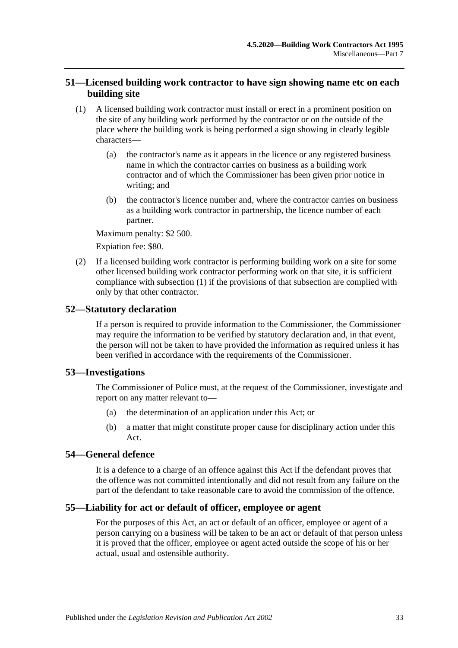### <span id="page-32-0"></span>**51—Licensed building work contractor to have sign showing name etc on each building site**

- <span id="page-32-5"></span>(1) A licensed building work contractor must install or erect in a prominent position on the site of any building work performed by the contractor or on the outside of the place where the building work is being performed a sign showing in clearly legible characters—
	- (a) the contractor's name as it appears in the licence or any registered business name in which the contractor carries on business as a building work contractor and of which the Commissioner has been given prior notice in writing; and
	- (b) the contractor's licence number and, where the contractor carries on business as a building work contractor in partnership, the licence number of each partner.

Maximum penalty: \$2 500.

Expiation fee: \$80.

(2) If a licensed building work contractor is performing building work on a site for some other licensed building work contractor performing work on that site, it is sufficient compliance with [subsection](#page-32-5) (1) if the provisions of that subsection are complied with only by that other contractor.

### <span id="page-32-1"></span>**52—Statutory declaration**

If a person is required to provide information to the Commissioner, the Commissioner may require the information to be verified by statutory declaration and, in that event, the person will not be taken to have provided the information as required unless it has been verified in accordance with the requirements of the Commissioner.

### <span id="page-32-2"></span>**53—Investigations**

The Commissioner of Police must, at the request of the Commissioner, investigate and report on any matter relevant to—

- (a) the determination of an application under this Act; or
- (b) a matter that might constitute proper cause for disciplinary action under this Act.

### <span id="page-32-3"></span>**54—General defence**

It is a defence to a charge of an offence against this Act if the defendant proves that the offence was not committed intentionally and did not result from any failure on the part of the defendant to take reasonable care to avoid the commission of the offence.

### <span id="page-32-4"></span>**55—Liability for act or default of officer, employee or agent**

For the purposes of this Act, an act or default of an officer, employee or agent of a person carrying on a business will be taken to be an act or default of that person unless it is proved that the officer, employee or agent acted outside the scope of his or her actual, usual and ostensible authority.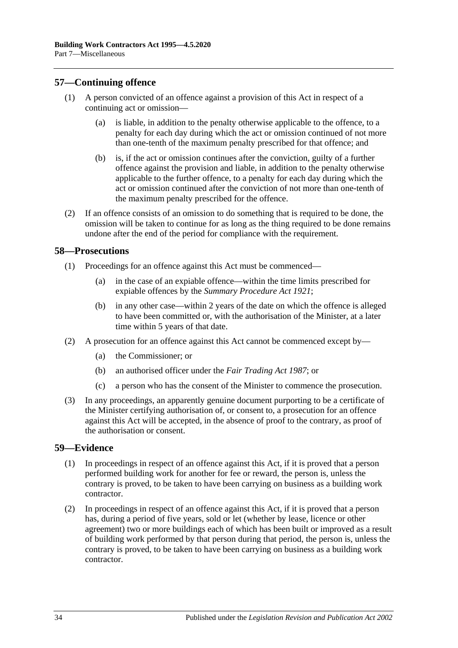### <span id="page-33-0"></span>**57—Continuing offence**

- (1) A person convicted of an offence against a provision of this Act in respect of a continuing act or omission—
	- (a) is liable, in addition to the penalty otherwise applicable to the offence, to a penalty for each day during which the act or omission continued of not more than one-tenth of the maximum penalty prescribed for that offence; and
	- (b) is, if the act or omission continues after the conviction, guilty of a further offence against the provision and liable, in addition to the penalty otherwise applicable to the further offence, to a penalty for each day during which the act or omission continued after the conviction of not more than one-tenth of the maximum penalty prescribed for the offence.
- (2) If an offence consists of an omission to do something that is required to be done, the omission will be taken to continue for as long as the thing required to be done remains undone after the end of the period for compliance with the requirement.

#### <span id="page-33-1"></span>**58—Prosecutions**

- (1) Proceedings for an offence against this Act must be commenced—
	- (a) in the case of an expiable offence—within the time limits prescribed for expiable offences by the *[Summary Procedure Act](http://www.legislation.sa.gov.au/index.aspx?action=legref&type=act&legtitle=Summary%20Procedure%20Act%201921) 1921*;
	- (b) in any other case—within 2 years of the date on which the offence is alleged to have been committed or, with the authorisation of the Minister, at a later time within 5 years of that date.
- (2) A prosecution for an offence against this Act cannot be commenced except by—
	- (a) the Commissioner; or
	- (b) an authorised officer under the *[Fair Trading Act](http://www.legislation.sa.gov.au/index.aspx?action=legref&type=act&legtitle=Fair%20Trading%20Act%201987) 1987*; or
	- (c) a person who has the consent of the Minister to commence the prosecution.
- (3) In any proceedings, an apparently genuine document purporting to be a certificate of the Minister certifying authorisation of, or consent to, a prosecution for an offence against this Act will be accepted, in the absence of proof to the contrary, as proof of the authorisation or consent.

#### <span id="page-33-2"></span>**59—Evidence**

- (1) In proceedings in respect of an offence against this Act, if it is proved that a person performed building work for another for fee or reward, the person is, unless the contrary is proved, to be taken to have been carrying on business as a building work contractor.
- (2) In proceedings in respect of an offence against this Act, if it is proved that a person has, during a period of five years, sold or let (whether by lease, licence or other agreement) two or more buildings each of which has been built or improved as a result of building work performed by that person during that period, the person is, unless the contrary is proved, to be taken to have been carrying on business as a building work contractor.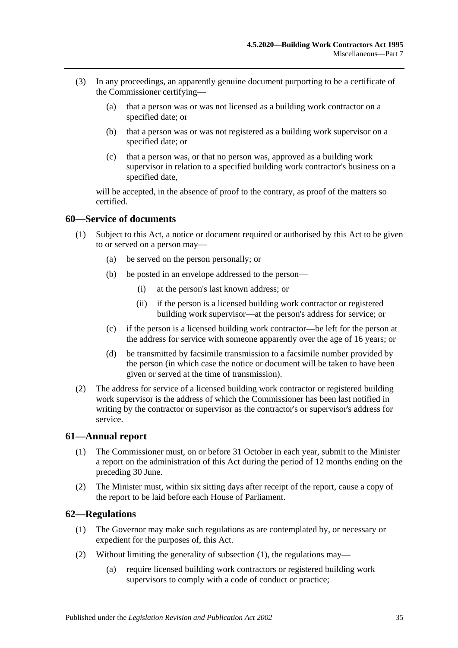- (3) In any proceedings, an apparently genuine document purporting to be a certificate of the Commissioner certifying—
	- (a) that a person was or was not licensed as a building work contractor on a specified date; or
	- (b) that a person was or was not registered as a building work supervisor on a specified date; or
	- (c) that a person was, or that no person was, approved as a building work supervisor in relation to a specified building work contractor's business on a specified date,

will be accepted, in the absence of proof to the contrary, as proof of the matters so certified.

#### <span id="page-34-0"></span>**60—Service of documents**

- (1) Subject to this Act, a notice or document required or authorised by this Act to be given to or served on a person may—
	- (a) be served on the person personally; or
	- (b) be posted in an envelope addressed to the person—
		- (i) at the person's last known address; or
		- (ii) if the person is a licensed building work contractor or registered building work supervisor—at the person's address for service; or
	- (c) if the person is a licensed building work contractor—be left for the person at the address for service with someone apparently over the age of 16 years; or
	- (d) be transmitted by facsimile transmission to a facsimile number provided by the person (in which case the notice or document will be taken to have been given or served at the time of transmission).
- (2) The address for service of a licensed building work contractor or registered building work supervisor is the address of which the Commissioner has been last notified in writing by the contractor or supervisor as the contractor's or supervisor's address for service.

#### <span id="page-34-1"></span>**61—Annual report**

- (1) The Commissioner must, on or before 31 October in each year, submit to the Minister a report on the administration of this Act during the period of 12 months ending on the preceding 30 June.
- (2) The Minister must, within six sitting days after receipt of the report, cause a copy of the report to be laid before each House of Parliament.

### <span id="page-34-3"></span><span id="page-34-2"></span>**62—Regulations**

- (1) The Governor may make such regulations as are contemplated by, or necessary or expedient for the purposes of, this Act.
- (2) Without limiting the generality of [subsection](#page-34-3) (1), the regulations may—
	- (a) require licensed building work contractors or registered building work supervisors to comply with a code of conduct or practice;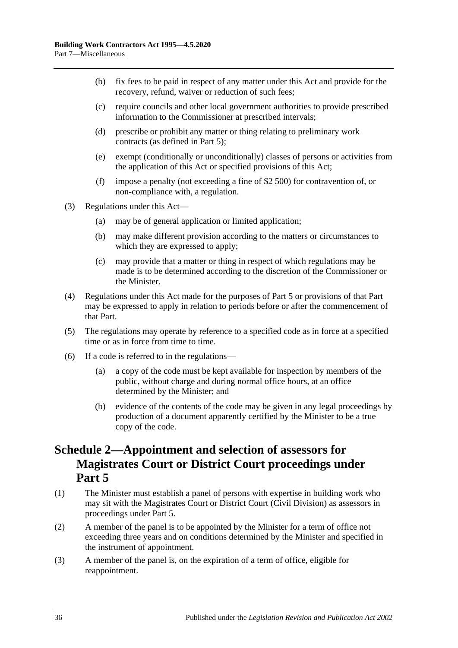- (b) fix fees to be paid in respect of any matter under this Act and provide for the recovery, refund, waiver or reduction of such fees;
- (c) require councils and other local government authorities to provide prescribed information to the Commissioner at prescribed intervals;
- (d) prescribe or prohibit any matter or thing relating to preliminary work contracts (as defined in [Part 5\)](#page-19-1);
- (e) exempt (conditionally or unconditionally) classes of persons or activities from the application of this Act or specified provisions of this Act;
- (f) impose a penalty (not exceeding a fine of \$2 500) for contravention of, or non-compliance with, a regulation.
- (3) Regulations under this Act—
	- (a) may be of general application or limited application;
	- (b) may make different provision according to the matters or circumstances to which they are expressed to apply;
	- (c) may provide that a matter or thing in respect of which regulations may be made is to be determined according to the discretion of the Commissioner or the Minister.
- (4) Regulations under this Act made for the purposes of [Part 5](#page-19-1) or provisions of that Part may be expressed to apply in relation to periods before or after the commencement of that Part.
- (5) The regulations may operate by reference to a specified code as in force at a specified time or as in force from time to time.
- (6) If a code is referred to in the regulations—
	- (a) a copy of the code must be kept available for inspection by members of the public, without charge and during normal office hours, at an office determined by the Minister; and
	- (b) evidence of the contents of the code may be given in any legal proceedings by production of a document apparently certified by the Minister to be a true copy of the code.

## <span id="page-35-0"></span>**Schedule 2—Appointment and selection of assessors for Magistrates Court or District Court proceedings under [Part](#page-19-1) 5**

- (1) The Minister must establish a panel of persons with expertise in building work who may sit with the Magistrates Court or District Court (Civil Division) as assessors in proceedings under [Part 5.](#page-19-1)
- (2) A member of the panel is to be appointed by the Minister for a term of office not exceeding three years and on conditions determined by the Minister and specified in the instrument of appointment.
- (3) A member of the panel is, on the expiration of a term of office, eligible for reappointment.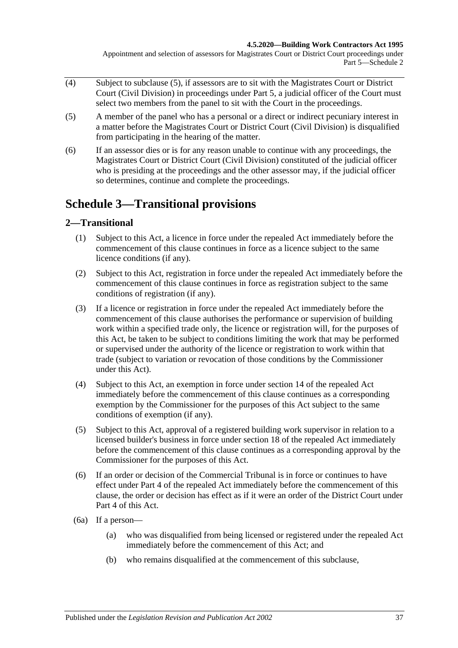#### **4.5.2020—Building Work Contractors Act 1995**

Appointment and selection of assessors for Magistrates Court or District Court proceedings under Part 5—Schedule 2

- $\overline{(4)}$  Subject to [subclause](#page-36-2) (5), if assessors are to sit with the Magistrates Court or District Court (Civil Division) in proceedings under [Part 5,](#page-19-1) a judicial officer of the Court must select two members from the panel to sit with the Court in the proceedings.
- <span id="page-36-2"></span>(5) A member of the panel who has a personal or a direct or indirect pecuniary interest in a matter before the Magistrates Court or District Court (Civil Division) is disqualified from participating in the hearing of the matter.
- (6) If an assessor dies or is for any reason unable to continue with any proceedings, the Magistrates Court or District Court (Civil Division) constituted of the judicial officer who is presiding at the proceedings and the other assessor may, if the judicial officer so determines, continue and complete the proceedings.

## <span id="page-36-0"></span>**Schedule 3—Transitional provisions**

### <span id="page-36-1"></span>**2—Transitional**

- (1) Subject to this Act, a licence in force under the repealed Act immediately before the commencement of this clause continues in force as a licence subject to the same licence conditions (if any).
- (2) Subject to this Act, registration in force under the repealed Act immediately before the commencement of this clause continues in force as registration subject to the same conditions of registration (if any).
- (3) If a licence or registration in force under the repealed Act immediately before the commencement of this clause authorises the performance or supervision of building work within a specified trade only, the licence or registration will, for the purposes of this Act, be taken to be subject to conditions limiting the work that may be performed or supervised under the authority of the licence or registration to work within that trade (subject to variation or revocation of those conditions by the Commissioner under this Act).
- (4) Subject to this Act, an exemption in force under section 14 of the repealed Act immediately before the commencement of this clause continues as a corresponding exemption by the Commissioner for the purposes of this Act subject to the same conditions of exemption (if any).
- (5) Subject to this Act, approval of a registered building work supervisor in relation to a licensed builder's business in force under section 18 of the repealed Act immediately before the commencement of this clause continues as a corresponding approval by the Commissioner for the purposes of this Act.
- (6) If an order or decision of the Commercial Tribunal is in force or continues to have effect under Part 4 of the repealed Act immediately before the commencement of this clause, the order or decision has effect as if it were an order of the District Court under [Part 4](#page-16-0) of this Act.
- <span id="page-36-3"></span>(6a) If a person—
	- (a) who was disqualified from being licensed or registered under the repealed Act immediately before the commencement of this Act; and
	- (b) who remains disqualified at the commencement of this subclause,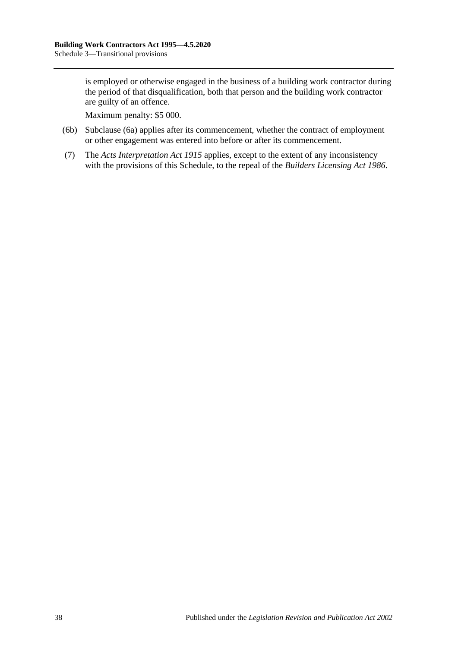is employed or otherwise engaged in the business of a building work contractor during the period of that disqualification, both that person and the building work contractor are guilty of an offence.

Maximum penalty: \$5 000.

- (6b) [Subclause](#page-36-3) (6a) applies after its commencement, whether the contract of employment or other engagement was entered into before or after its commencement.
- (7) The *[Acts Interpretation Act](http://www.legislation.sa.gov.au/index.aspx?action=legref&type=act&legtitle=Acts%20Interpretation%20Act%201915) 1915* applies, except to the extent of any inconsistency with the provisions of this Schedule, to the repeal of the *[Builders Licensing Act](http://www.legislation.sa.gov.au/index.aspx?action=legref&type=act&legtitle=Builders%20Licensing%20Act%201986) 1986*.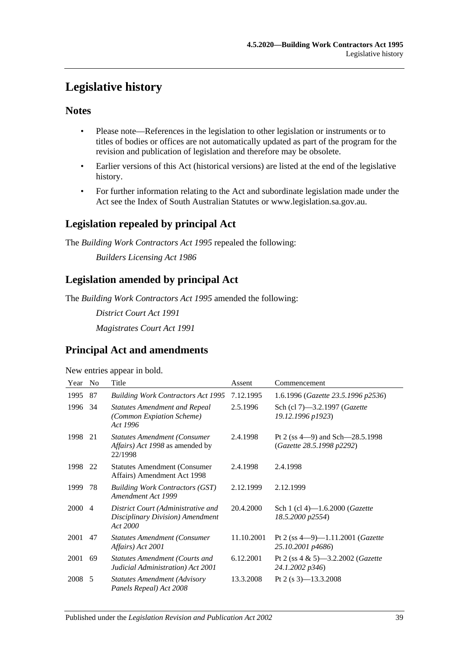## <span id="page-38-0"></span>**Legislative history**

### **Notes**

- Please note—References in the legislation to other legislation or instruments or to titles of bodies or offices are not automatically updated as part of the program for the revision and publication of legislation and therefore may be obsolete.
- Earlier versions of this Act (historical versions) are listed at the end of the legislative history.
- For further information relating to the Act and subordinate legislation made under the Act see the Index of South Australian Statutes or www.legislation.sa.gov.au.

## **Legislation repealed by principal Act**

The *Building Work Contractors Act 1995* repealed the following:

*Builders Licensing Act 1986*

## **Legislation amended by principal Act**

The *Building Work Contractors Act 1995* amended the following:

*District Court Act 1991*

*Magistrates Court Act 1991*

## **Principal Act and amendments**

New entries appear in bold.

| Year | N <sub>0</sub> | Title                                                                              | Assent     | Commencement                                                       |
|------|----------------|------------------------------------------------------------------------------------|------------|--------------------------------------------------------------------|
| 1995 | 87             | <b>Building Work Contractors Act 1995</b>                                          | 7.12.1995  | 1.6.1996 (Gazette 23.5.1996 p2536)                                 |
| 1996 | 34             | <b>Statutes Amendment and Repeal</b><br>(Common Expiation Scheme)<br>Act 1996      | 2.5.1996   | Sch (cl 7)-3.2.1997 (Gazette<br>19.12.1996 p1923)                  |
| 1998 | 21             | <b>Statutes Amendment (Consumer</b><br>Affairs) Act 1998 as amended by<br>22/1998  | 2.4.1998   | Pt 2 (ss $4-9$ ) and Sch $-28.5.1998$<br>(Gazette 28.5.1998 p2292) |
| 1998 | 22             | <b>Statutes Amendment (Consumer</b> )<br>Affairs) Amendment Act 1998               | 2.4.1998   | 2.4.1998                                                           |
| 1999 | 78             | <b>Building Work Contractors (GST)</b><br>Amendment Act 1999                       | 2.12.1999  | 2.12.1999                                                          |
| 2000 | $\overline{4}$ | District Court (Administrative and<br>Disciplinary Division) Amendment<br>Act 2000 | 20.4.2000  | Sch 1 (cl 4)-1.6.2000 ( <i>Gazette</i><br>18.5.2000 p2554)         |
| 2001 | 47             | <b>Statutes Amendment (Consumer</b><br>Affairs) Act 2001                           | 11.10.2001 | Pt 2 (ss $4-9$ )-1.11.2001 (Gazette<br>25.10.2001 p4686)           |
| 2001 | 69             | Statutes Amendment (Courts and<br>Judicial Administration) Act 2001                | 6.12.2001  | Pt 2 (ss $4 \& 5$ )—3.2.2002 ( <i>Gazette</i><br>24.1.2002 p346)   |
| 2008 | - 5            | <b>Statutes Amendment (Advisory</b><br>Panels Repeal) Act 2008                     | 13.3.2008  | Pt 2 (s $3$ )-13.3.2008                                            |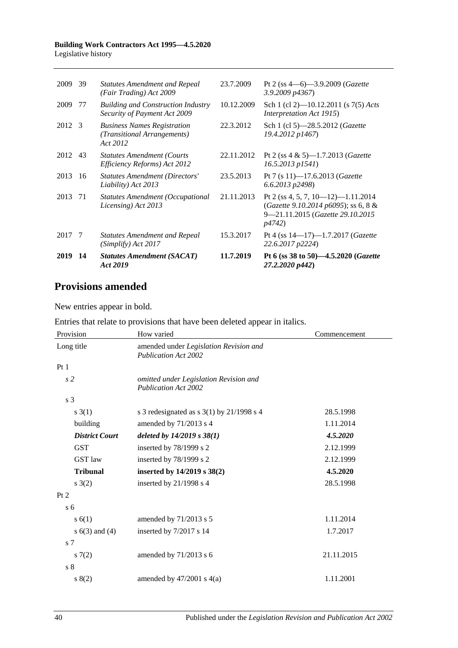#### **Building Work Contractors Act 1995—4.5.2020** Legislative history

| 2009   | 39 | <b>Statutes Amendment and Repeal</b><br>(Fair Trading) Act 2009               | 23.7.2009  | Pt 2 (ss $4-6$ )-3.9.2009 ( <i>Gazette</i><br>3.9.2009 p4367)                                                                    |
|--------|----|-------------------------------------------------------------------------------|------------|----------------------------------------------------------------------------------------------------------------------------------|
| 2009   | 77 | <b>Building and Construction Industry</b><br>Security of Payment Act 2009     | 10.12.2009 | Sch 1 (cl 2)-10.12.2011 (s 7(5) Acts<br><i>Interpretation Act 1915</i> )                                                         |
| 2012 3 |    | <b>Business Names Registration</b><br>(Transitional Arrangements)<br>Act 2012 | 22.3.2012  | Sch 1 (cl 5)-28.5.2012 (Gazette<br>19.4.2012 p1467)                                                                              |
| 2012   | 43 | <b>Statutes Amendment (Courts</b><br>Efficiency Reforms) Act 2012             | 22.11.2012 | Pt 2 (ss $4 \& 5$ )-1.7.2013 ( <i>Gazette</i><br>$16.5.2013$ $p1541$ )                                                           |
| 2013   | 16 | <b>Statutes Amendment (Directors'</b><br>Liability) Act 2013                  | 23.5.2013  | Pt 7 (s 11)-17.6.2013 (Gazette<br>6.6.2013 p2498)                                                                                |
| 2013   | 71 | <b>Statutes Amendment (Occupational</b><br>Licensing) Act 2013                | 21.11.2013 | Pt 2 (ss 4, 5, 7, 10–12)–1.11.2014<br>(Gazette 9.10.2014 p6095); ss 6, 8 &<br>9-21.11.2015 (Gazette 29.10.2015<br><i>p</i> 4742) |
| 2017 7 |    | <b>Statutes Amendment and Repeal</b><br>(Simplify) Act 2017                   | 15.3.2017  | Pt 4 (ss $14-17$ )-1.7.2017 ( <i>Gazette</i><br>22.6.2017 p2224)                                                                 |
| 2019   | 14 | <b>Statutes Amendment (SACAT)</b><br>Act 2019                                 | 11.7.2019  | Pt 6 (ss 38 to 50)-4.5.2020 (Gazette<br>27.2.2020 p442)                                                                          |

## **Provisions amended**

New entries appear in bold.

Entries that relate to provisions that have been deleted appear in italics.

| Provision             | How varied                                                            | Commencement |
|-----------------------|-----------------------------------------------------------------------|--------------|
| Long title            | amended under Legislation Revision and<br><b>Publication Act 2002</b> |              |
| Pt1                   |                                                                       |              |
| s <sub>2</sub>        | omitted under Legislation Revision and<br><b>Publication Act 2002</b> |              |
| s 3                   |                                                                       |              |
| $s \; 3(1)$           | s 3 redesignated as s $3(1)$ by $21/1998$ s 4                         | 28.5.1998    |
| building              | amended by 71/2013 s 4                                                | 1.11.2014    |
| <b>District Court</b> | deleted by $14/2019$ s $38(1)$                                        | 4.5.2020     |
| <b>GST</b>            | inserted by 78/1999 s 2                                               | 2.12.1999    |
| <b>GST</b> law        | inserted by 78/1999 s 2                                               | 2.12.1999    |
| <b>Tribunal</b>       | inserted by 14/2019 s 38(2)                                           | 4.5.2020     |
| s(2)                  | inserted by $21/1998$ s 4                                             | 28.5.1998    |
| Pt 2                  |                                                                       |              |
| s <sub>6</sub>        |                                                                       |              |
| s(6(1))               | amended by 71/2013 s 5                                                | 1.11.2014    |
| s $6(3)$ and $(4)$    | inserted by 7/2017 s 14                                               | 1.7.2017     |
| s <sub>7</sub>        |                                                                       |              |
| 57(2)                 | amended by 71/2013 s 6                                                | 21.11.2015   |
| s <sub>8</sub>        |                                                                       |              |
| 8(2)                  | amended by $47/2001$ s $4(a)$                                         | 1.11.2001    |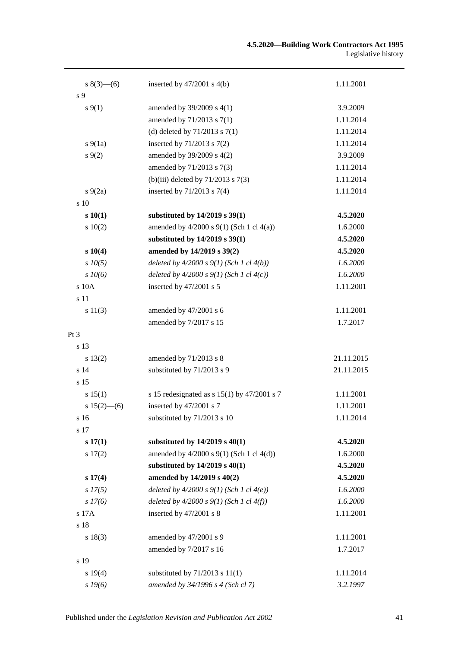| s $8(3)$ —(6)   | inserted by $47/2001$ s $4(b)$                  | 1.11.2001  |
|-----------------|-------------------------------------------------|------------|
| s 9             |                                                 |            |
| $s \, 9(1)$     | amended by 39/2009 s 4(1)                       | 3.9.2009   |
|                 | amended by 71/2013 s 7(1)                       | 1.11.2014  |
|                 | (d) deleted by $71/2013$ s $7(1)$               | 1.11.2014  |
| $s\,9(1a)$      | inserted by 71/2013 s 7(2)                      | 1.11.2014  |
| $s \, 9(2)$     | amended by 39/2009 s 4(2)                       | 3.9.2009   |
|                 | amended by 71/2013 s 7(3)                       | 1.11.2014  |
|                 | (b)(iii) deleted by $71/2013$ s $7(3)$          | 1.11.2014  |
| $s\ 9(2a)$      | inserted by $71/2013$ s $7(4)$                  | 1.11.2014  |
| $\frac{10}{2}$  |                                                 |            |
| s 10(1)         | substituted by 14/2019 s 39(1)                  | 4.5.2020   |
| 10(2)           | amended by $4/2000$ s $9(1)$ (Sch 1 cl $4(a)$ ) | 1.6.2000   |
|                 | substituted by 14/2019 s 39(1)                  | 4.5.2020   |
| s 10(4)         | amended by 14/2019 s 39(2)                      | 4.5.2020   |
| $s$ $10(5)$     | deleted by $4/2000 s 9(1)$ (Sch 1 cl $4(b)$ )   | 1.6.2000   |
| $s$ 10(6)       | deleted by $4/2000 s 9(1)$ (Sch 1 cl $4(c)$ )   | 1.6.2000   |
| s 10A           | inserted by 47/2001 s 5                         | 1.11.2001  |
| s 11            |                                                 |            |
| s 11(3)         | amended by 47/2001 s 6                          | 1.11.2001  |
|                 | amended by 7/2017 s 15                          | 1.7.2017   |
| Pt <sub>3</sub> |                                                 |            |
| s 13            |                                                 |            |
| s 13(2)         | amended by 71/2013 s 8                          | 21.11.2015 |
| s <sub>14</sub> | substituted by 71/2013 s 9                      | 21.11.2015 |
| s <sub>15</sub> |                                                 |            |
| s 15(1)         | s 15 redesignated as s $15(1)$ by $47/2001$ s 7 | 1.11.2001  |
| $s 15(2)$ - (6) | inserted by 47/2001 s 7                         | 1.11.2001  |
| s 16            | substituted by 71/2013 s 10                     | 1.11.2014  |
| s 17            |                                                 |            |
| s 17(1)         | substituted by $14/2019$ s $40(1)$              | 4.5.2020   |
| 17(2)           | amended by $4/2000$ s $9(1)$ (Sch 1 cl $4(d)$ ) | 1.6.2000   |
|                 | substituted by $14/2019$ s $40(1)$              | 4.5.2020   |
| s 17(4)         | amended by 14/2019 s 40(2)                      | 4.5.2020   |
| $s\,17(5)$      | deleted by $4/2000 s 9(1)$ (Sch 1 cl $4(e)$ )   | 1.6.2000   |
| $s\,I7(6)$      | deleted by $4/2000 s 9(1)$ (Sch 1 cl $4(f)$ )   | 1.6.2000   |
| s 17A           | inserted by 47/2001 s 8                         | 1.11.2001  |
| s 18            |                                                 |            |
| s 18(3)         | amended by 47/2001 s 9                          | 1.11.2001  |
|                 | amended by 7/2017 s 16                          | 1.7.2017   |
| s 19            |                                                 |            |
| s 19(4)         | substituted by $71/2013$ s $11(1)$              | 1.11.2014  |
| $s\,19(6)$      | amended by 34/1996 s 4 (Sch cl 7)               | 3.2.1997   |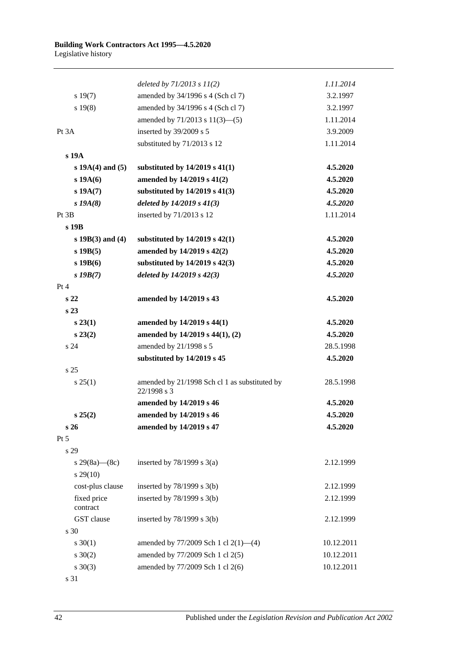|                         | deleted by $71/2013$ s $11(2)$                               | 1.11.2014  |
|-------------------------|--------------------------------------------------------------|------------|
| s 19(7)                 | amended by 34/1996 s 4 (Sch cl 7)                            | 3.2.1997   |
| s 19(8)                 | amended by 34/1996 s 4 (Sch cl 7)                            | 3.2.1997   |
|                         | amended by $71/2013$ s $11(3)$ —(5)                          | 1.11.2014  |
| Pt 3A                   | inserted by 39/2009 s 5                                      | 3.9.2009   |
|                         | substituted by 71/2013 s 12                                  | 1.11.2014  |
| s 19A                   |                                                              |            |
| $s 19A(4)$ and (5)      | substituted by $14/2019$ s $41(1)$                           | 4.5.2020   |
| s 19A(6)                | amended by 14/2019 s 41(2)                                   | 4.5.2020   |
| $s\,19A(7)$             | substituted by $14/2019$ s $41(3)$                           | 4.5.2020   |
| $s$ 19 $A(8)$           | deleted by $14/2019 s 41(3)$                                 | 4.5.2020   |
| Pt 3B                   | inserted by 71/2013 s 12                                     | 1.11.2014  |
| s 19B                   |                                                              |            |
| $s 19B(3)$ and (4)      | substituted by $14/2019$ s $42(1)$                           | 4.5.2020   |
| $s$ 19B $(5)$           | amended by 14/2019 s 42(2)                                   | 4.5.2020   |
| $s$ 19 $B(6)$           | substituted by 14/2019 s 42(3)                               | 4.5.2020   |
| $s$ 19 $B(7)$           | deleted by $14/2019$ s $42(3)$                               | 4.5.2020   |
| Pt 4                    |                                                              |            |
| s <sub>22</sub>         | amended by 14/2019 s 43                                      | 4.5.2020   |
| s <sub>23</sub>         |                                                              |            |
| $s\,23(1)$              | amended by 14/2019 s 44(1)                                   | 4.5.2020   |
| $s\,23(2)$              | amended by 14/2019 s 44(1), (2)                              | 4.5.2020   |
| s <sub>24</sub>         | amended by 21/1998 s 5                                       | 28.5.1998  |
|                         | substituted by 14/2019 s 45                                  | 4.5.2020   |
| s 25                    |                                                              |            |
| s 25(1)                 | amended by 21/1998 Sch cl 1 as substituted by<br>22/1998 s 3 | 28.5.1998  |
|                         | amended by 14/2019 s 46                                      | 4.5.2020   |
| s 25(2)                 | amended by 14/2019 s 46                                      | 4.5.2020   |
| s <sub>26</sub>         | amended by 14/2019 s 47                                      | 4.5.2020   |
| Pt 5                    |                                                              |            |
| s 29                    |                                                              |            |
| s 29(8a)—(8c)           | inserted by $78/1999$ s $3(a)$                               | 2.12.1999  |
| $s\,29(10)$             |                                                              |            |
| cost-plus clause        | inserted by $78/1999$ s $3(b)$                               | 2.12.1999  |
| fixed price<br>contract | inserted by $78/1999$ s $3(b)$                               | 2.12.1999  |
| GST clause              | inserted by $78/1999$ s $3(b)$                               | 2.12.1999  |
| s 30                    |                                                              |            |
| $s \ 30(1)$             | amended by 77/2009 Sch 1 cl 2(1)-(4)                         | 10.12.2011 |
| $s \ 30(2)$             | amended by 77/2009 Sch 1 cl 2(5)                             | 10.12.2011 |
| $s \ 30(3)$             | amended by 77/2009 Sch 1 cl 2(6)                             | 10.12.2011 |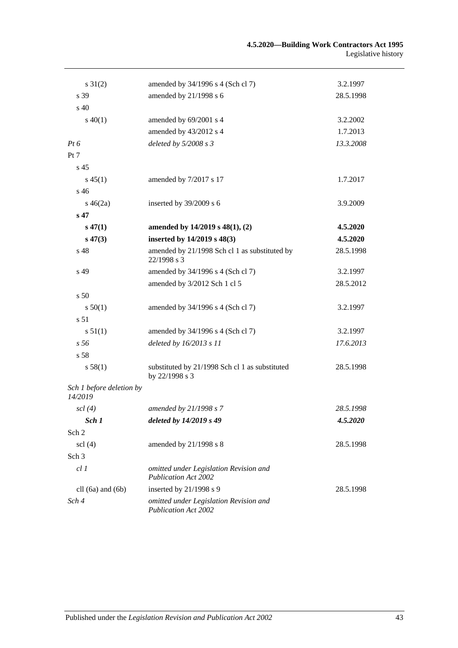| $s \, 31(2)$                        | amended by 34/1996 s 4 (Sch cl 7)                                     | 3.2.1997  |
|-------------------------------------|-----------------------------------------------------------------------|-----------|
| s 39                                | amended by 21/1998 s 6                                                | 28.5.1998 |
| s <sub>40</sub>                     |                                                                       |           |
| $s\ 40(1)$                          | amended by 69/2001 s 4                                                | 3.2.2002  |
|                                     | amended by 43/2012 s 4                                                | 1.7.2013  |
| $Pt\,6$                             | deleted by $5/2008 s3$                                                | 13.3.2008 |
| Pt 7                                |                                                                       |           |
| s <sub>45</sub>                     |                                                                       |           |
| $s\,45(1)$                          | amended by 7/2017 s 17                                                | 1.7.2017  |
| s 46                                |                                                                       |           |
| $s\,46(2a)$                         | inserted by 39/2009 s 6                                               | 3.9.2009  |
| s <sub>47</sub>                     |                                                                       |           |
| $s\,47(1)$                          | amended by 14/2019 s 48(1), (2)                                       | 4.5.2020  |
| $s\,47(3)$                          | inserted by 14/2019 s 48(3)                                           | 4.5.2020  |
| s 48                                | amended by 21/1998 Sch cl 1 as substituted by<br>22/1998 s 3          | 28.5.1998 |
| s 49                                | amended by 34/1996 s 4 (Sch cl 7)                                     | 3.2.1997  |
|                                     | amended by 3/2012 Sch 1 cl 5                                          | 28.5.2012 |
| s 50                                |                                                                       |           |
| s 50(1)                             | amended by 34/1996 s 4 (Sch cl 7)                                     | 3.2.1997  |
| s <sub>51</sub>                     |                                                                       |           |
| s 51(1)                             | amended by 34/1996 s 4 (Sch cl 7)                                     | 3.2.1997  |
| s 56                                | deleted by $16/2013 s 11$                                             | 17.6.2013 |
| s 58                                |                                                                       |           |
| s 58(1)                             | substituted by 21/1998 Sch cl 1 as substituted<br>by 22/1998 s 3      | 28.5.1998 |
| Sch 1 before deletion by<br>14/2019 |                                                                       |           |
| $\operatorname{scl}(4)$             | amended by 21/1998 s 7                                                | 28.5.1998 |
| Sch 1                               | deleted by 14/2019 s 49                                               | 4.5.2020  |
| Sch 2                               |                                                                       |           |
| $\text{sc}$ (4)                     | amended by 21/1998 s 8                                                | 28.5.1998 |
| Sch <sub>3</sub>                    |                                                                       |           |
| cl1                                 | omitted under Legislation Revision and<br><b>Publication Act 2002</b> |           |
| cll $(6a)$ and $(6b)$               | inserted by $21/1998$ s 9                                             | 28.5.1998 |
| Sch 4                               | omitted under Legislation Revision and<br><b>Publication Act 2002</b> |           |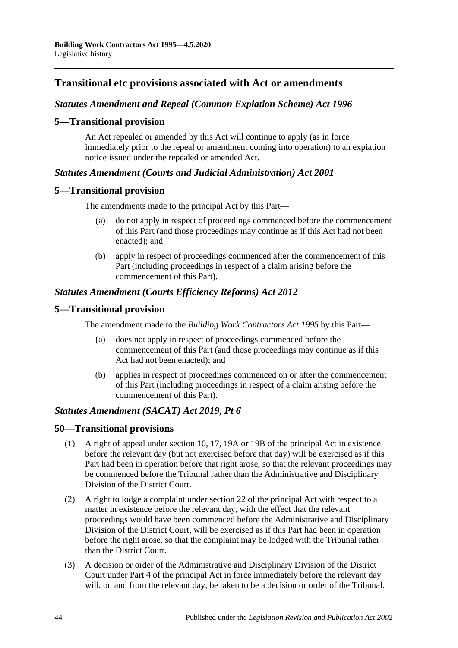### **Transitional etc provisions associated with Act or amendments**

### *Statutes Amendment and Repeal (Common Expiation Scheme) Act 1996*

#### **5—Transitional provision**

An Act repealed or amended by this Act will continue to apply (as in force immediately prior to the repeal or amendment coming into operation) to an expiation notice issued under the repealed or amended Act.

### *Statutes Amendment (Courts and Judicial Administration) Act 2001*

#### **5—Transitional provision**

The amendments made to the principal Act by this Part—

- (a) do not apply in respect of proceedings commenced before the commencement of this Part (and those proceedings may continue as if this Act had not been enacted); and
- (b) apply in respect of proceedings commenced after the commencement of this Part (including proceedings in respect of a claim arising before the commencement of this Part).

### *Statutes Amendment (Courts Efficiency Reforms) Act 2012*

#### **5—Transitional provision**

The amendment made to the *[Building Work Contractors Act](http://www.legislation.sa.gov.au/index.aspx?action=legref&type=act&legtitle=Building%20Work%20Contractors%20Act%201995) 1995* by this Part—

- (a) does not apply in respect of proceedings commenced before the commencement of this Part (and those proceedings may continue as if this Act had not been enacted); and
- (b) applies in respect of proceedings commenced on or after the commencement of this Part (including proceedings in respect of a claim arising before the commencement of this Part).

#### *Statutes Amendment (SACAT) Act 2019, Pt 6*

#### **50—Transitional provisions**

- (1) A right of appeal under section 10, 17, 19A or 19B of the principal Act in existence before the relevant day (but not exercised before that day) will be exercised as if this Part had been in operation before that right arose, so that the relevant proceedings may be commenced before the Tribunal rather than the Administrative and Disciplinary Division of the District Court.
- (2) A right to lodge a complaint under section 22 of the principal Act with respect to a matter in existence before the relevant day, with the effect that the relevant proceedings would have been commenced before the Administrative and Disciplinary Division of the District Court, will be exercised as if this Part had been in operation before the right arose, so that the complaint may be lodged with the Tribunal rather than the District Court.
- (3) A decision or order of the Administrative and Disciplinary Division of the District Court under Part 4 of the principal Act in force immediately before the relevant day will, on and from the relevant day, be taken to be a decision or order of the Tribunal.